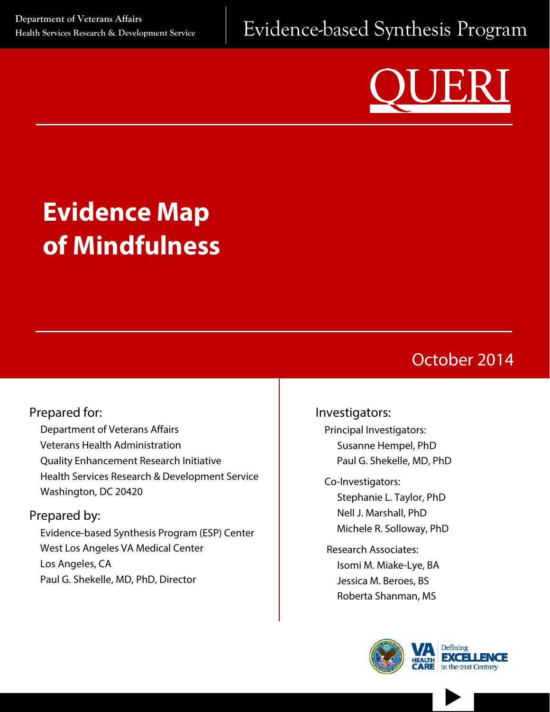

# **Evidence Map of Mindfulness**

# October 2014

### Prepared for:

Department of Veterans Affairs Veterans Health Administration Quality Enhancement Research Initiative Health Services Research & Development Service Washington, DC 20420

#### Prepared by:

Evidence-based Synthesis Program (ESP) Center West Los Angeles VA Medical Center Los Angeles, CA Paul G. Shekelle, MD, PhD, Director

#### Investigators:

Principal Investigators: Susanne Hempel, PhD Paul G. Shekelle, MD, PhD

Co-Investigators: Stephanie L. Taylor, PhD Nell J. Marshall, PhD Michele R. Solloway, PhD

Research Associates: Isomi M. Miake-Lye, BA Jessica M. Beroes, BS Roberta Shanman, MS



 $\blacktriangleright$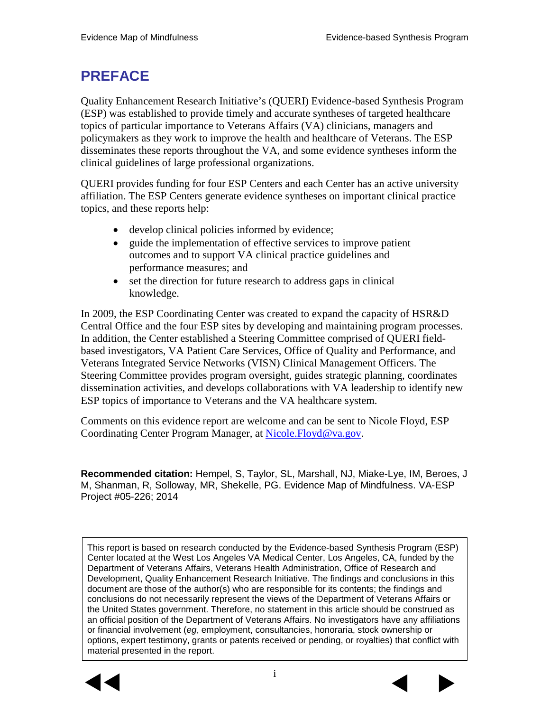# **PREFACE**

Quality Enhancement Research Initiative's (QUERI) Evidence-based Synthesis Program (ESP) was established to provide timely and accurate syntheses of targeted healthcare topics of particular importance to Veterans Affairs (VA) clinicians, managers and policymakers as they work to improve the health and healthcare of Veterans. The ESP disseminates these reports throughout the VA, and some evidence syntheses inform the clinical guidelines of large professional organizations.

QUERI provides funding for four ESP Centers and each Center has an active university affiliation. The ESP Centers generate evidence syntheses on important clinical practice topics, and these reports help:

- develop clinical policies informed by evidence;
- guide the implementation of effective services to improve patient outcomes and to support VA clinical practice guidelines and performance measures; and
- set the direction for future research to address gaps in clinical knowledge.

In 2009, the ESP Coordinating Center was created to expand the capacity of HSR&D Central Office and the four ESP sites by developing and maintaining program processes. In addition, the Center established a Steering Committee comprised of QUERI fieldbased investigators, VA Patient Care Services, Office of Quality and Performance, and Veterans Integrated Service Networks (VISN) Clinical Management Officers. The Steering Committee provides program oversight, guides strategic planning, coordinates dissemination activities, and develops collaborations with VA leadership to identify new ESP topics of importance to Veterans and the VA healthcare system.

Comments on this evidence report are welcome and can be sent to Nicole Floyd, ESP Coordinating Center Program Manager, at [Nicole.Floyd@va.gov.](mailto:Nicole.Floyd@va.gov)

**Recommended citation:** Hempel, S, Taylor, SL, Marshall, NJ, Miake-Lye, IM, Beroes, J M, Shanman, R, Solloway, MR, Shekelle, PG. Evidence Map of Mindfulness. VA-ESP Project #05-226; 2014

This report is based on research conducted by the Evidence-based Synthesis Program (ESP) Center located at the West Los Angeles VA Medical Center, Los Angeles, CA, funded by the Department of Veterans Affairs, Veterans Health Administration, Office of Research and Development, Quality Enhancement Research Initiative. The findings and conclusions in this document are those of the author(s) who are responsible for its contents; the findings and conclusions do not necessarily represent the views of the Department of Veterans Affairs or the United States government. Therefore, no statement in this article should be construed as an official position of the Department of Veterans Affairs. No investigators have any affiliations or financial involvement (*eg*, employment, consultancies, honoraria, stock ownership or options, expert testimony, grants or patents received or pending, or royalties) that conflict with material presented in the report.



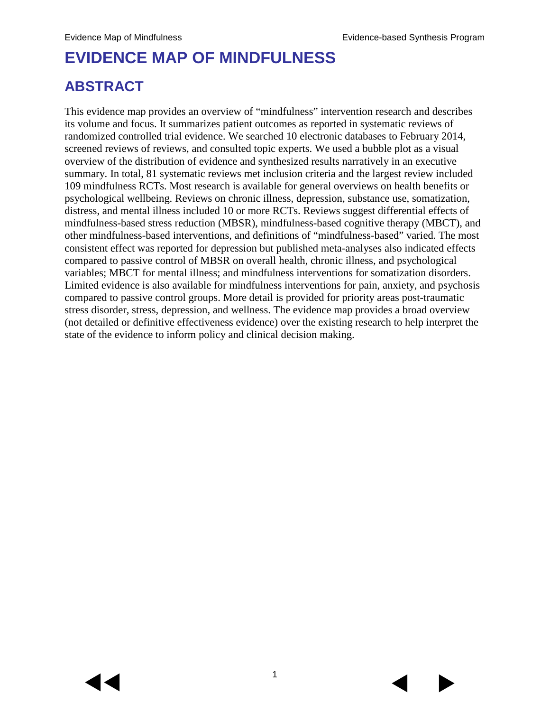# **EVIDENCE MAP OF MINDFULNESS**

# **ABSTRACT**

This evidence map provides an overview of "mindfulness" intervention research and describes its volume and focus. It summarizes patient outcomes as reported in systematic reviews of randomized controlled trial evidence. We searched 10 electronic databases to February 2014, screened reviews of reviews, and consulted topic experts. We used a bubble plot as a visual overview of the distribution of evidence and synthesized results narratively in an executive summary. In total, 81 systematic reviews met inclusion criteria and the largest review included 109 mindfulness RCTs. Most research is available for general overviews on health benefits or psychological wellbeing. Reviews on chronic illness, depression, substance use, somatization, distress, and mental illness included 10 or more RCTs. Reviews suggest differential effects of mindfulness-based stress reduction (MBSR), mindfulness-based cognitive therapy (MBCT), and other mindfulness-based interventions, and definitions of "mindfulness-based" varied. The most consistent effect was reported for depression but published meta-analyses also indicated effects compared to passive control of MBSR on overall health, chronic illness, and psychological variables; MBCT for mental illness; and mindfulness interventions for somatization disorders. Limited evidence is also available for mindfulness interventions for pain, anxiety, and psychosis compared to passive control groups. More detail is provided for priority areas post-traumatic stress disorder, stress, depression, and wellness. The evidence map provides a broad overview (not detailed or definitive effectiveness evidence) over the existing research to help interpret the state of the evidence to inform policy and clinical decision making.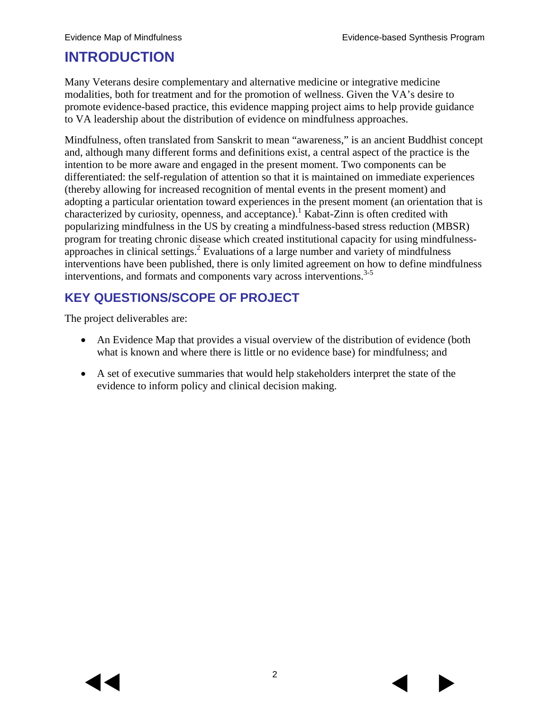# **INTRODUCTION**

Many Veterans desire complementary and alternative medicine or integrative medicine modalities, both for treatment and for the promotion of wellness. Given the VA's desire to promote evidence-based practice, this evidence mapping project aims to help provide guidance to VA leadership about the distribution of evidence on mindfulness approaches.

Mindfulness, often translated from Sanskrit to mean "awareness," is an ancient Buddhist concept and, although many different forms and definitions exist, a central aspect of the practice is the intention to be more aware and engaged in the present moment. Two components can be differentiated: the self-regulation of attention so that it is maintained on immediate experiences (thereby allowing for increased recognition of mental events in the present moment) and adopting a particular orientation toward experiences in the present moment (an orientation that is characterized by curiosity, openness, and acceptance).<sup>[1](#page-23-0)</sup> Kabat-Zinn is often credited with popularizing mindfulness in the US by creating a mindfulness-based stress reduction (MBSR) program for treating chronic disease which created institutional capacity for using mindfulnessapproaches in clinical settings.<sup>2</sup> Evaluations of a large number and variety of mindfulness interventions have been published, there is only limited agreement on how to define mindfulness interventions, and formats and components vary across interventions. [3-5](#page-23-2)

## **KEY QUESTIONS/SCOPE OF PROJECT**

The project deliverables are:

- An Evidence Map that provides a visual overview of the distribution of evidence (both what is known and where there is little or no evidence base) for mindfulness; and
- A set of executive summaries that would help stakeholders interpret the state of the evidence to inform policy and clinical decision making.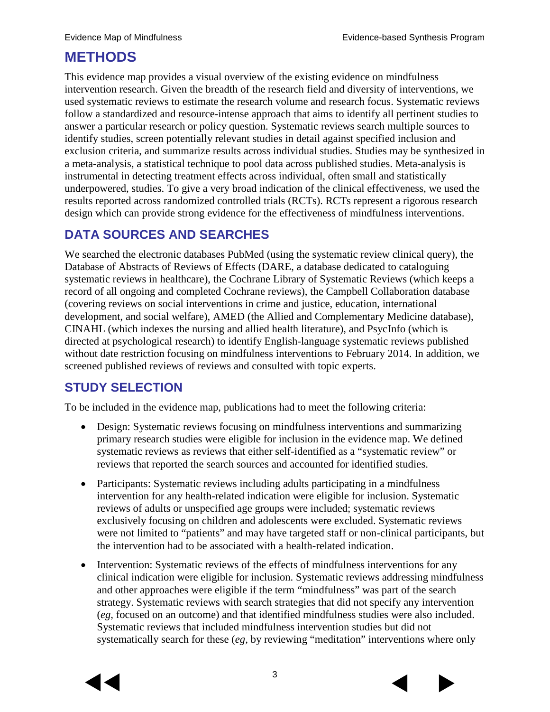# **METHODS**

This evidence map provides a visual overview of the existing evidence on mindfulness intervention research. Given the breadth of the research field and diversity of interventions, we used systematic reviews to estimate the research volume and research focus. Systematic reviews follow a standardized and resource-intense approach that aims to identify all pertinent studies to answer a particular research or policy question. Systematic reviews search multiple sources to identify studies, screen potentially relevant studies in detail against specified inclusion and exclusion criteria, and summarize results across individual studies. Studies may be synthesized in a meta-analysis, a statistical technique to pool data across published studies. Meta-analysis is instrumental in detecting treatment effects across individual, often small and statistically underpowered, studies. To give a very broad indication of the clinical effectiveness, we used the results reported across randomized controlled trials (RCTs). RCTs represent a rigorous research design which can provide strong evidence for the effectiveness of mindfulness interventions.

#### **DATA SOURCES AND SEARCHES**

We searched the electronic databases PubMed (using the systematic review clinical query), the Database of Abstracts of Reviews of Effects (DARE, a database dedicated to cataloguing systematic reviews in healthcare), the Cochrane Library of Systematic Reviews (which keeps a record of all ongoing and completed Cochrane reviews), the Campbell Collaboration database (covering reviews on social interventions in crime and justice, education, international development, and social welfare), AMED (the Allied and Complementary Medicine database), CINAHL (which indexes the nursing and allied health literature), and PsycInfo (which is directed at psychological research) to identify English-language systematic reviews published without date restriction focusing on mindfulness interventions to February 2014. In addition, we screened published reviews of reviews and consulted with topic experts.

### **STUDY SELECTION**

To be included in the evidence map, publications had to meet the following criteria:

- Design: Systematic reviews focusing on mindfulness interventions and summarizing primary research studies were eligible for inclusion in the evidence map. We defined systematic reviews as reviews that either self-identified as a "systematic review" or reviews that reported the search sources and accounted for identified studies.
- Participants: Systematic reviews including adults participating in a mindfulness intervention for any health-related indication were eligible for inclusion. Systematic reviews of adults or unspecified age groups were included; systematic reviews exclusively focusing on children and adolescents were excluded. Systematic reviews were not limited to "patients" and may have targeted staff or non-clinical participants, but the intervention had to be associated with a health-related indication.
- Intervention: Systematic reviews of the effects of mindfulness interventions for any clinical indication were eligible for inclusion. Systematic reviews addressing mindfulness and other approaches were eligible if the term "mindfulness" was part of the search strategy. Systematic reviews with search strategies that did not specify any intervention (*eg,* focused on an outcome) and that identified mindfulness studies were also included. Systematic reviews that included mindfulness intervention studies but did not systematically search for these (*eg,* by reviewing "meditation" interventions where only



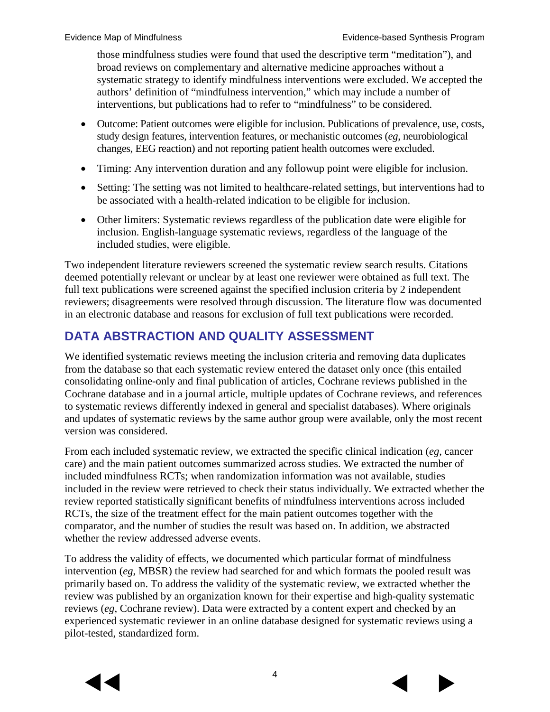those mindfulness studies were found that used the descriptive term "meditation"), and broad reviews on complementary and alternative medicine approaches without a systematic strategy to identify mindfulness interventions were excluded. We accepted the authors' definition of "mindfulness intervention," which may include a number of interventions, but publications had to refer to "mindfulness" to be considered.

- Outcome: Patient outcomes were eligible for inclusion. Publications of prevalence, use, costs, study design features, intervention features, or mechanistic outcomes (*eg*, neurobiological changes, EEG reaction) and not reporting patient health outcomes were excluded.
- Timing: Any intervention duration and any followup point were eligible for inclusion.
- Setting: The setting was not limited to healthcare-related settings, but interventions had to be associated with a health-related indication to be eligible for inclusion.
- Other limiters: Systematic reviews regardless of the publication date were eligible for inclusion. English-language systematic reviews, regardless of the language of the included studies, were eligible.

Two independent literature reviewers screened the systematic review search results. Citations deemed potentially relevant or unclear by at least one reviewer were obtained as full text. The full text publications were screened against the specified inclusion criteria by 2 independent reviewers; disagreements were resolved through discussion. The literature flow was documented in an electronic database and reasons for exclusion of full text publications were recorded.

### **DATA ABSTRACTION AND QUALITY ASSESSMENT**

We identified systematic reviews meeting the inclusion criteria and removing data duplicates from the database so that each systematic review entered the dataset only once (this entailed consolidating online-only and final publication of articles, Cochrane reviews published in the Cochrane database and in a journal article, multiple updates of Cochrane reviews, and references to systematic reviews differently indexed in general and specialist databases). Where originals and updates of systematic reviews by the same author group were available, only the most recent version was considered.

From each included systematic review, we extracted the specific clinical indication (*eg*, cancer care) and the main patient outcomes summarized across studies. We extracted the number of included mindfulness RCTs; when randomization information was not available, studies included in the review were retrieved to check their status individually. We extracted whether the review reported statistically significant benefits of mindfulness interventions across included RCTs, the size of the treatment effect for the main patient outcomes together with the comparator, and the number of studies the result was based on. In addition, we abstracted whether the review addressed adverse events.

To address the validity of effects, we documented which particular format of mindfulness intervention (*eg*, MBSR) the review had searched for and which formats the pooled result was primarily based on. To address the validity of the systematic review, we extracted whether the review was published by an organization known for their expertise and high-quality systematic reviews (*eg*, Cochrane review). Data were extracted by a content expert and checked by an experienced systematic reviewer in an online database designed for systematic reviews using a pilot-tested, standardized form.



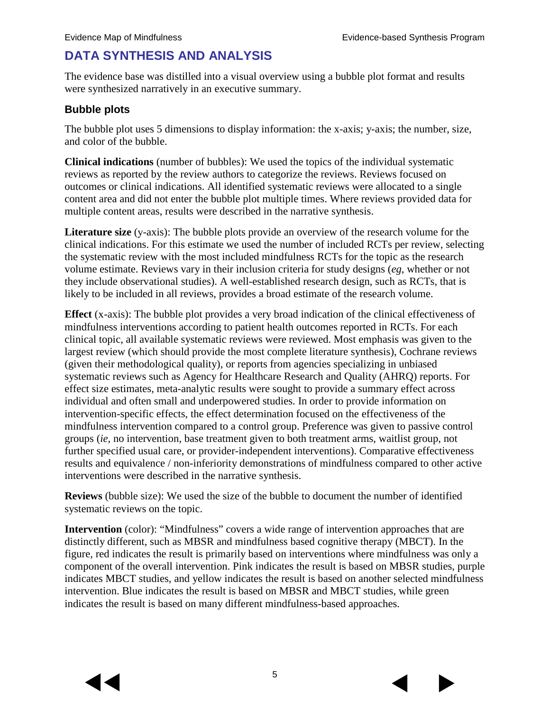# **DATA SYNTHESIS AND ANALYSIS**

The evidence base was distilled into a visual overview using a bubble plot format and results were synthesized narratively in an executive summary.

#### **Bubble plots**

The bubble plot uses 5 dimensions to display information: the x-axis; y-axis; the number, size, and color of the bubble.

**Clinical indications** (number of bubbles): We used the topics of the individual systematic reviews as reported by the review authors to categorize the reviews. Reviews focused on outcomes or clinical indications. All identified systematic reviews were allocated to a single content area and did not enter the bubble plot multiple times. Where reviews provided data for multiple content areas, results were described in the narrative synthesis.

**Literature size** (y-axis): The bubble plots provide an overview of the research volume for the clinical indications. For this estimate we used the number of included RCTs per review, selecting the systematic review with the most included mindfulness RCTs for the topic as the research volume estimate. Reviews vary in their inclusion criteria for study designs (*eg*, whether or not they include observational studies). A well-established research design, such as RCTs, that is likely to be included in all reviews, provides a broad estimate of the research volume.

**Effect** (x-axis): The bubble plot provides a very broad indication of the clinical effectiveness of mindfulness interventions according to patient health outcomes reported in RCTs. For each clinical topic, all available systematic reviews were reviewed. Most emphasis was given to the largest review (which should provide the most complete literature synthesis), Cochrane reviews (given their methodological quality), or reports from agencies specializing in unbiased systematic reviews such as Agency for Healthcare Research and Quality (AHRQ) reports. For effect size estimates, meta-analytic results were sought to provide a summary effect across individual and often small and underpowered studies. In order to provide information on intervention-specific effects, the effect determination focused on the effectiveness of the mindfulness intervention compared to a control group. Preference was given to passive control groups (*ie,* no intervention, base treatment given to both treatment arms, waitlist group, not further specified usual care, or provider-independent interventions). Comparative effectiveness results and equivalence / non-inferiority demonstrations of mindfulness compared to other active interventions were described in the narrative synthesis.

**Reviews** (bubble size): We used the size of the bubble to document the number of identified systematic reviews on the topic.

**Intervention** (color): "Mindfulness" covers a wide range of intervention approaches that are distinctly different, such as MBSR and mindfulness based cognitive therapy (MBCT). In the figure, red indicates the result is primarily based on interventions where mindfulness was only a component of the overall intervention. Pink indicates the result is based on MBSR studies, purple indicates MBCT studies, and yellow indicates the result is based on another selected mindfulness intervention. Blue indicates the result is based on MBSR and MBCT studies, while green indicates the result is based on many different mindfulness-based approaches.



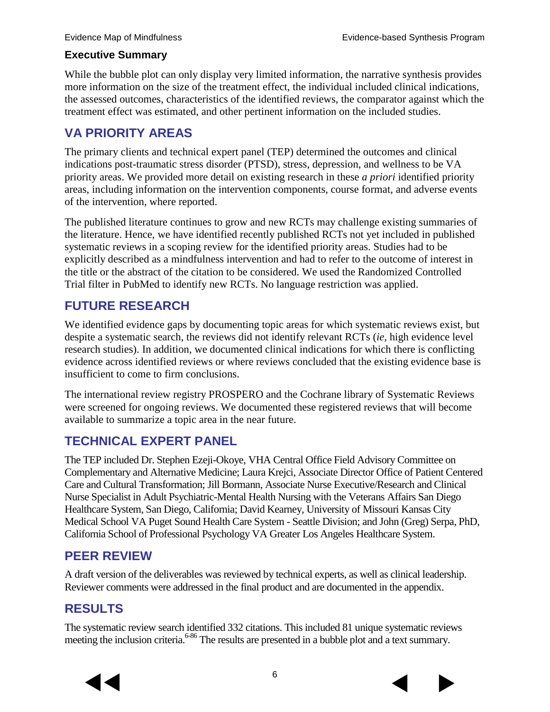#### **Executive Summary**

While the bubble plot can only display very limited information, the narrative synthesis provides more information on the size of the treatment effect, the individual included clinical indications, the assessed outcomes, characteristics of the identified reviews, the comparator against which the treatment effect was estimated, and other pertinent information on the included studies.

#### **VA PRIORITY AREAS**

The primary clients and technical expert panel (TEP) determined the outcomes and clinical indications post-traumatic stress disorder (PTSD), stress, depression, and wellness to be VA priority areas. We provided more detail on existing research in these *a priori* identified priority areas, including information on the intervention components, course format, and adverse events of the intervention, where reported.

The published literature continues to grow and new RCTs may challenge existing summaries of the literature. Hence, we have identified recently published RCTs not yet included in published systematic reviews in a scoping review for the identified priority areas. Studies had to be explicitly described as a mindfulness intervention and had to refer to the outcome of interest in the title or the abstract of the citation to be considered. We used the Randomized Controlled Trial filter in PubMed to identify new RCTs. No language restriction was applied.

#### **FUTURE RESEARCH**

We identified evidence gaps by documenting topic areas for which systematic reviews exist, but despite a systematic search, the reviews did not identify relevant RCTs (*ie,* high evidence level research studies). In addition, we documented clinical indications for which there is conflicting evidence across identified reviews or where reviews concluded that the existing evidence base is insufficient to come to firm conclusions.

The international review registry PROSPERO and the Cochrane library of Systematic Reviews were screened for ongoing reviews. We documented these registered reviews that will become available to summarize a topic area in the near future.

### **TECHNICAL EXPERT PANEL**

The TEP included Dr. Stephen Ezeji-Okoye, VHA Central Office Field Advisory Committee on Complementary and Alternative Medicine; Laura Krejci, Associate Director Office of Patient Centered Care and Cultural Transformation; Jill Bormann, Associate Nurse Executive/Research and Clinical Nurse Specialist in Adult Psychiatric-Mental Health Nursing with the Veterans Affairs San Diego Healthcare System, San Diego, California; David Kearney, University of Missouri Kansas City Medical School VA Puget Sound Health Care System - Seattle Division; and John (Greg) Serpa, PhD, California School of Professional Psychology VA Greater Los Angeles Healthcare System.

#### **PEER REVIEW**

A draft version of the deliverables was reviewed by technical experts, as well as clinical leadership. Reviewer comments were addressed in the final product and are documented in the appendix.

### **RESULTS**

The systematic review search identified 332 citations. This included 81 unique systematic reviews meeting the inclusion criteria.<sup>6-86</sup> The results are presented in a bubble plot and a text summary.



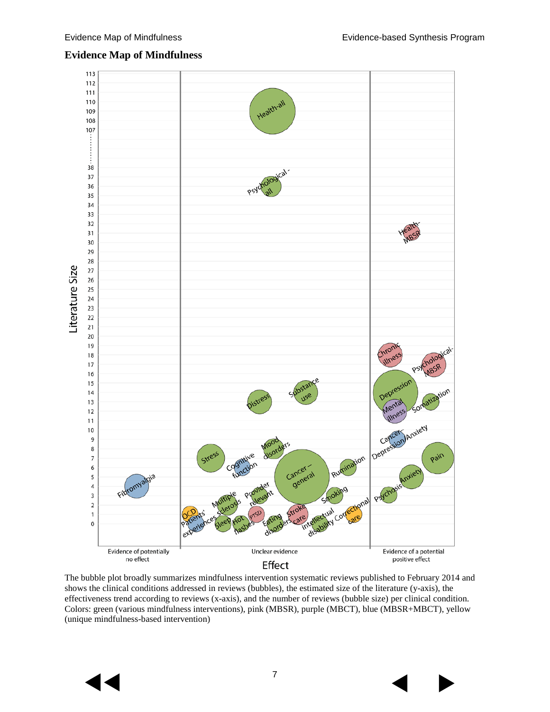#### 113 112 111 Health-all 110 109 108 107 38 37 Psychologi 36 35 34 33 32 31 30 29 28 Literature Size 27 26 25 24 23 22  $21$  $20\,$ 19 Chron  $18\,$  $17\,$ 16 Depression  $15$  $14$ stres Menta 13  $12$ lettess Depression Anxiety  $11$  $10\,$ 9  $\,$  8  $\,$ ganitive Rumination Pain Stress  $\overline{7}$ unction Cancer 6 ancer<br>general 5  $\overline{\mathbf{4}}$ 3  $\mathbf 2$ Stroke htellectual corre  $\mathsf 1$ care  $\pmb{0}$ disor Unclear evidence Evidence of potentially Evidence of a potential no effect positive effect Effect

#### **Evidence Map of Mindfulness**

The bubble plot broadly summarizes mindfulness intervention systematic reviews published to February 2014 and shows the clinical conditions addressed in reviews (bubbles), the estimated size of the literature (y-axis), the effectiveness trend according to reviews (x-axis), and the number of reviews (bubble size) per clinical condition. Colors: green (various mindfulness interventions), pink (MBSR), purple (MBCT), blue (MBSR+MBCT), yellow (unique mindfulness-based intervention)

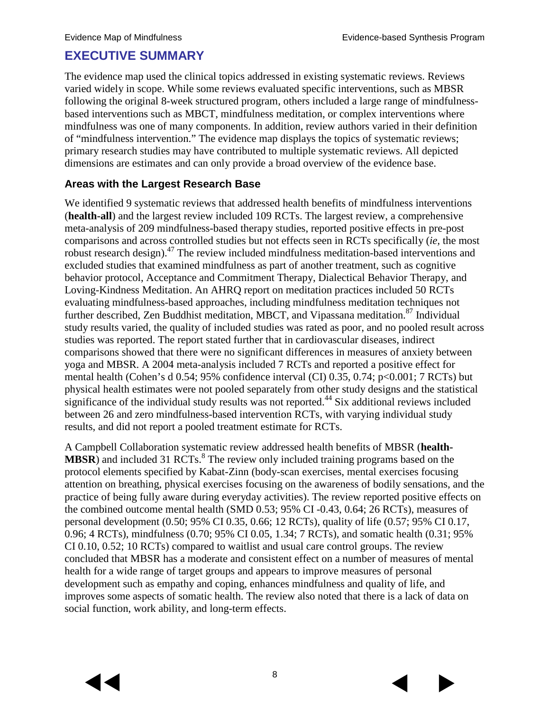### **EXECUTIVE SUMMARY**

The evidence map used the clinical topics addressed in existing systematic reviews. Reviews varied widely in scope. While some reviews evaluated specific interventions, such as MBSR following the original 8-week structured program, others included a large range of mindfulnessbased interventions such as MBCT, mindfulness meditation, or complex interventions where mindfulness was one of many components. In addition, review authors varied in their definition of "mindfulness intervention." The evidence map displays the topics of systematic reviews; primary research studies may have contributed to multiple systematic reviews. All depicted dimensions are estimates and can only provide a broad overview of the evidence base.

#### **Areas with the Largest Research Base**

We identified 9 systematic reviews that addressed health benefits of mindfulness interventions (**health-all**) and the largest review included 109 RCTs. The largest review, a comprehensive meta-analysis of 209 mindfulness-based therapy studies, reported positive effects in pre-post comparisons and across controlled studies but not effects seen in RCTs specifically (*ie,* the most robust research design).<sup>[47](#page-26-0)</sup> The review included mindfulness meditation-based interventions and excluded studies that examined mindfulness as part of another treatment, such as cognitive behavior protocol, Acceptance and Commitment Therapy, Dialectical Behavior Therapy, and Loving-Kindness Meditation. An AHRQ report on meditation practices included 50 RCTs evaluating mindfulness-based approaches, including mindfulness meditation techniques not further described, Zen Buddhist meditation, MBCT, and Vipassana meditation.<sup>87</sup> Individual study results varied, the quality of included studies was rated as poor, and no pooled result across studies was reported. The report stated further that in cardiovascular diseases, indirect comparisons showed that there were no significant differences in measures of anxiety between yoga and MBSR. A 2004 meta-analysis included 7 RCTs and reported a positive effect for mental health (Cohen's d 0.54; 95% confidence interval (CI) 0.35, 0.74; p<0.001; 7 RCTs) but physical health estimates were not pooled separately from other study designs and the statistical significance of the individual study results was not reported.<sup>[44](#page-25-0)</sup> Six additional reviews included between 26 and zero mindfulness-based intervention RCTs, with varying individual study results, and did not report a pooled treatment estimate for RCTs.

A Campbell Collaboration systematic review addressed health benefits of MBSR (**health-MBSR**) and included 31 RCTs.<sup>[8](#page-23-4)</sup> The review only included training programs based on the protocol elements specified by Kabat-Zinn (body-scan exercises, mental exercises focusing attention on breathing, physical exercises focusing on the awareness of bodily sensations, and the practice of being fully aware during everyday activities). The review reported positive effects on the combined outcome mental health (SMD 0.53; 95% CI -0.43, 0.64; 26 RCTs), measures of personal development (0.50; 95% CI 0.35, 0.66; 12 RCTs), quality of life (0.57; 95% CI 0.17, 0.96; 4 RCTs), mindfulness (0.70; 95% CI 0.05, 1.34; 7 RCTs), and somatic health (0.31; 95% CI 0.10, 0.52; 10 RCTs) compared to waitlist and usual care control groups. The review concluded that MBSR has a moderate and consistent effect on a number of measures of mental health for a wide range of target groups and appears to improve measures of personal development such as empathy and coping, enhances mindfulness and quality of life, and improves some aspects of somatic health. The review also noted that there is a lack of data on social function, work ability, and long-term effects.

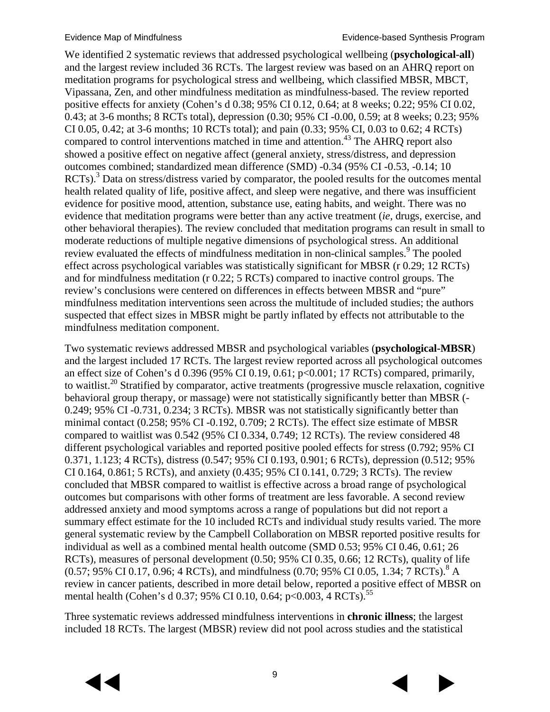We identified 2 systematic reviews that addressed psychological wellbeing (**psychological-all**) and the largest review included 36 RCTs. The largest review was based on an AHRQ report on meditation programs for psychological stress and wellbeing, which classified MBSR, MBCT, Vipassana, Zen, and other mindfulness meditation as mindfulness-based. The review reported positive effects for anxiety (Cohen's d 0.38; 95% CI 0.12, 0.64; at 8 weeks; 0.22; 95% CI 0.02, 0.43; at 3-6 months; 8 RCTs total), depression (0.30; 95% CI -0.00, 0.59; at 8 weeks; 0.23; 95% CI 0.05, 0.42; at 3-6 months; 10 RCTs total); and pain (0.33; 95% CI, 0.03 to 0.62; 4 RCTs) compared to control interventions matched in time and attention.<sup>43</sup> The AHRO report also showed a positive effect on negative affect (general anxiety, stress/distress, and depression outcomes combined; standardized mean difference (SMD) -0.34 (95% CI -0.53, -0.14; 10 RCTs).<sup>[3](#page-23-2)</sup> Data on stress/distress varied by comparator, the pooled results for the outcomes mental health related quality of life, positive affect, and sleep were negative, and there was insufficient evidence for positive mood, attention, substance use, eating habits, and weight. There was no evidence that meditation programs were better than any active treatment (*ie,* drugs, exercise, and other behavioral therapies). The review concluded that meditation programs can result in small to moderate reductions of multiple negative dimensions of psychological stress. An additional review evaluated the effects of mindfulness meditation in non-clinical samples.<sup>9</sup> The pooled effect across psychological variables was statistically significant for MBSR (r 0.29; 12 RCTs) and for mindfulness meditation (r 0.22; 5 RCTs) compared to inactive control groups. The review's conclusions were centered on differences in effects between MBSR and "pure" mindfulness meditation interventions seen across the multitude of included studies; the authors suspected that effect sizes in MBSR might be partly inflated by effects not attributable to the mindfulness meditation component.

Two systematic reviews addressed MBSR and psychological variables (**psychological-MBSR**) and the largest included 17 RCTs. The largest review reported across all psychological outcomes an effect size of Cohen's d 0.396 (95% CI 0.19, 0.61; p<0.001; 17 RCTs) compared, primarily, to waitlist.<sup>[20](#page-24-0)</sup> Stratified by comparator, active treatments (progressive muscle relaxation, cognitive behavioral group therapy, or massage) were not statistically significantly better than MBSR (- 0.249; 95% CI -0.731, 0.234; 3 RCTs). MBSR was not statistically significantly better than minimal contact (0.258; 95% CI -0.192, 0.709; 2 RCTs). The effect size estimate of MBSR compared to waitlist was 0.542 (95% CI 0.334, 0.749; 12 RCTs). The review considered 48 different psychological variables and reported positive pooled effects for stress (0.792; 95% CI 0.371, 1.123; 4 RCTs), distress (0.547; 95% CI 0.193, 0.901; 6 RCTs), depression (0.512; 95% CI 0.164, 0.861; 5 RCTs), and anxiety (0.435; 95% CI 0.141, 0.729; 3 RCTs). The review concluded that MBSR compared to waitlist is effective across a broad range of psychological outcomes but comparisons with other forms of treatment are less favorable. A second review addressed anxiety and mood symptoms across a range of populations but did not report a summary effect estimate for the 10 included RCTs and individual study results varied. The more general systematic review by the Campbell Collaboration on MBSR reported positive results for individual as well as a combined mental health outcome (SMD 0.53; 95% CI 0.46, 0.61; 26 RCTs), measures of personal development (0.50; 95% CI 0.35, 0.66; 12 RCTs), quality of life  $(0.57; 95\% \text{ CI } 0.17, 0.96; 4 \text{ RCTs})$ , and mindfulness  $(0.70; 95\% \text{ CI } 0.05, 1.34; 7 \text{ RCTs})$ .<sup>8</sup> A review in cancer patients, described in more detail below, reported a positive effect of MBSR on mental health (Cohen's d 0.37; 95% CI 0.10, 0.64; p<0.003, 4 RCTs).<sup>[55](#page-26-1)</sup>

Three systematic reviews addressed mindfulness interventions in **chronic illness**; the largest included 18 RCTs. The largest (MBSR) review did not pool across studies and the statistical

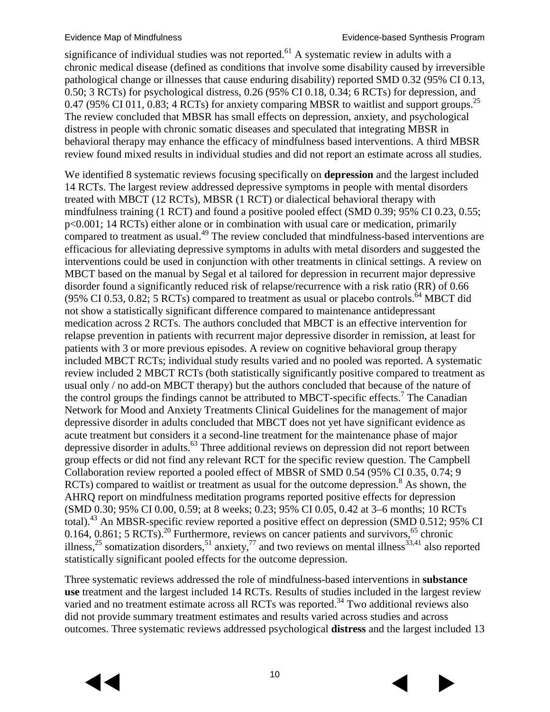significance of individual studies was not reported.<sup>[61](#page-27-0)</sup> A systematic review in adults with a chronic medical disease (defined as conditions that involve some disability caused by irreversible pathological change or illnesses that cause enduring disability) reported SMD 0.32 (95% CI 0.13, 0.50; 3 RCTs) for psychological distress, 0.26 (95% CI 0.18, 0.34; 6 RCTs) for depression, and 0.47 (95% CI 011, 0.83; 4 RCTs) for anxiety comparing MBSR to waitlist and support groups.<sup>[25](#page-24-1)</sup> The review concluded that MBSR has small effects on depression, anxiety, and psychological distress in people with chronic somatic diseases and speculated that integrating MBSR in behavioral therapy may enhance the efficacy of mindfulness based interventions. A third MBSR review found mixed results in individual studies and did not report an estimate across all studies.

We identified 8 systematic reviews focusing specifically on **depression** and the largest included 14 RCTs. The largest review addressed depressive symptoms in people with mental disorders treated with MBCT (12 RCTs), MBSR (1 RCT) or dialectical behavioral therapy with mindfulness training (1 RCT) and found a positive pooled effect (SMD 0.39; 95% CI 0.23, 0.55; p<0.001; 14 RCTs) either alone or in combination with usual care or medication, primarily compared to treatment as usual.<sup>[49](#page-26-2)</sup> The review concluded that mindfulness-based interventions are efficacious for alleviating depressive symptoms in adults with metal disorders and suggested the interventions could be used in conjunction with other treatments in clinical settings. A review on MBCT based on the manual by Segal et al tailored for depression in recurrent major depressive disorder found a significantly reduced risk of relapse/recurrence with a risk ratio (RR) of 0.66 (95% CI 0.53, 0.82; 5 RCTs) compared to treatment as usual or placebo controls.<sup>[64](#page-27-1)</sup> MBCT did not show a statistically significant difference compared to maintenance antidepressant medication across 2 RCTs. The authors concluded that MBCT is an effective intervention for relapse prevention in patients with recurrent major depressive disorder in remission, at least for patients with 3 or more previous episodes. A review on cognitive behavioral group therapy included MBCT RCTs; individual study results varied and no pooled was reported. A systematic review included 2 MBCT RCTs (both statistically significantly positive compared to treatment as usual only / no add-on MBCT therapy) but the authors concluded that because of the nature of the control groups the findings cannot be attributed to MBCT-specific effects.<sup>[7](#page-23-6)</sup> The Canadian Network for Mood and Anxiety Treatments Clinical Guidelines for the management of major depressive disorder in adults concluded that MBCT does not yet have significant evidence as acute treatment but considers it a second-line treatment for the maintenance phase of major depressive disorder in adults.<sup>[63](#page-27-2)</sup> Three additional reviews on depression did not report between group effects or did not find any relevant RCT for the specific review question. The Campbell Collaboration review reported a pooled effect of MBSR of SMD 0.54 (95% CI 0.35, 0.74; 9 RCTs) compared to waitlist or treatment as usual for the outcome depression.<sup>8</sup> As shown, the AHRQ report on mindfulness meditation programs reported positive effects for depression (SMD 0.30; 95% CI 0.00, 0.59; at 8 weeks; 0.23; 95% CI 0.05, 0.42 at 3–6 months; 10 RCTs total).<sup>[43](#page-25-1)</sup> An MBSR-specific review reported a positive effect on depression (SMD 0.512; 95% CI 0.164, 0.861; 5 RCTs).<sup>[20](#page-24-0)</sup> Furthermore, reviews on cancer patients and survivors,<sup>[65](#page-27-3)</sup> chronic illness,<sup>[25](#page-24-1)</sup> somatization disorders,<sup>[51](#page-26-3)</sup> anxiety,<sup>77</sup> and two reviews on mental illness<sup>[33,](#page-25-2)[41](#page-25-3)</sup> also reported statistically significant pooled effects for the outcome depression.

Three systematic reviews addressed the role of mindfulness-based interventions in **substance use** treatment and the largest included 14 RCTs. Results of studies included in the largest review varied and no treatment estimate across all RCTs was reported.<sup>34</sup> Two additional reviews also did not provide summary treatment estimates and results varied across studies and across outcomes. Three systematic reviews addressed psychological **distress** and the largest included 13

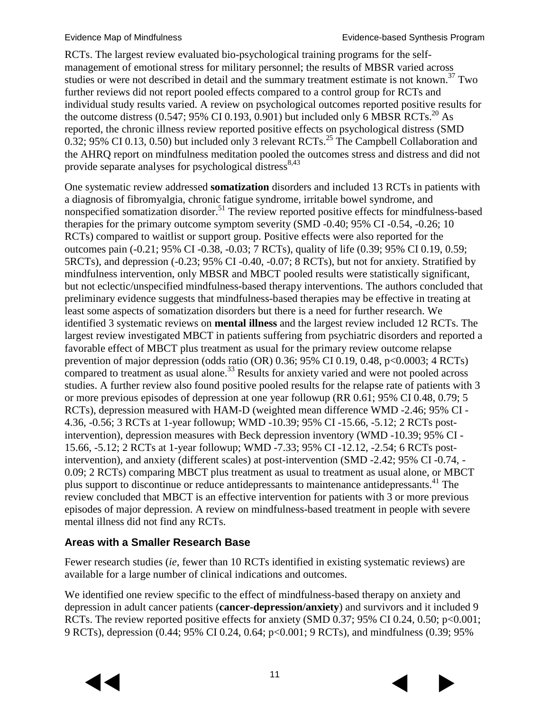RCTs. The largest review evaluated bio-psychological training programs for the selfmanagement of emotional stress for military personnel; the results of MBSR varied across studies or were not described in detail and the summary treatment estimate is not known.<sup>[37](#page-25-5)</sup> Two further reviews did not report pooled effects compared to a control group for RCTs and individual study results varied. A review on psychological outcomes reported positive results for the outcome distress (0.547; 95% CI 0.193, 0.901) but included only 6 MBSR RCTs.<sup>20</sup> As reported, the chronic illness review reported positive effects on psychological distress (SMD 0.32; 95% CI 0.13, 0.50) but included only 3 relevant RCTs.<sup>[25](#page-24-1)</sup> The Campbell Collaboration and the AHRQ report on mindfulness meditation pooled the outcomes stress and distress and did not provide separate analyses for psychological distress<sup>[8,](#page-23-4)[43](#page-25-1)</sup>

One systematic review addressed **somatization** disorders and included 13 RCTs in patients with a diagnosis of fibromyalgia, chronic fatigue syndrome, irritable bowel syndrome, and nonspecified somatization disorder.<sup>51</sup> The review reported positive effects for mindfulness-based therapies for the primary outcome symptom severity (SMD -0.40; 95% CI -0.54, -0.26; 10 RCTs) compared to waitlist or support group. Positive effects were also reported for the outcomes pain (-0.21; 95% CI -0.38, -0.03; 7 RCTs), quality of life (0.39; 95% CI 0.19, 0.59; 5RCTs), and depression (-0.23; 95% CI -0.40, -0.07; 8 RCTs), but not for anxiety. Stratified by mindfulness intervention, only MBSR and MBCT pooled results were statistically significant, but not eclectic/unspecified mindfulness-based therapy interventions. The authors concluded that preliminary evidence suggests that mindfulness-based therapies may be effective in treating at least some aspects of somatization disorders but there is a need for further research. We identified 3 systematic reviews on **mental illness** and the largest review included 12 RCTs. The largest review investigated MBCT in patients suffering from psychiatric disorders and reported a favorable effect of MBCT plus treatment as usual for the primary review outcome relapse prevention of major depression (odds ratio (OR) 0.36; 95% CI 0.19, 0.48, p<0.0003; 4 RCTs) compared to treatment as usual alone.<sup>[33](#page-25-2)</sup> Results for anxiety varied and were not pooled across studies. A further review also found positive pooled results for the relapse rate of patients with 3 or more previous episodes of depression at one year followup (RR 0.61; 95% CI 0.48, 0.79; 5 RCTs), depression measured with HAM-D (weighted mean difference WMD -2.46; 95% CI - 4.36, -0.56; 3 RCTs at 1-year followup; WMD -10.39; 95% CI -15.66, -5.12; 2 RCTs postintervention), depression measures with Beck depression inventory (WMD -10.39; 95% CI - 15.66, -5.12; 2 RCTs at 1-year followup; WMD -7.33; 95% CI -12.12, -2.54; 6 RCTs postintervention), and anxiety (different scales) at post-intervention (SMD -2.42; 95% CI -0.74, - 0.09; 2 RCTs) comparing MBCT plus treatment as usual to treatment as usual alone, or MBCT plus support to discontinue or reduce antidepressants to maintenance antidepressants.<sup>[41](#page-25-3)</sup> The review concluded that MBCT is an effective intervention for patients with 3 or more previous episodes of major depression. A review on mindfulness-based treatment in people with severe mental illness did not find any RCTs.

#### **Areas with a Smaller Research Base**

Fewer research studies (*ie,* fewer than 10 RCTs identified in existing systematic reviews) are available for a large number of clinical indications and outcomes.

We identified one review specific to the effect of mindfulness-based therapy on anxiety and depression in adult cancer patients (**cancer-depression/anxiety**) and survivors and it included 9 RCTs. The review reported positive effects for anxiety (SMD 0.37; 95% CI 0.24, 0.50; p<0.001; 9 RCTs), depression (0.44; 95% CI 0.24, 0.64; p<0.001; 9 RCTs), and mindfulness (0.39; 95%



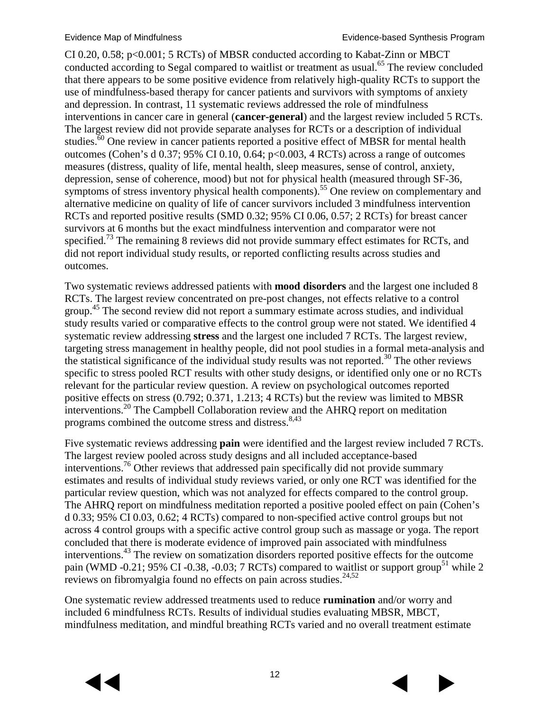CI 0.20, 0.58; p<0.001; 5 RCTs) of MBSR conducted according to Kabat-Zinn or MBCT conducted according to Segal compared to waitlist or treatment as usual.<sup>[65](#page-27-3)</sup> The review concluded that there appears to be some positive evidence from relatively high-quality RCTs to support the use of mindfulness-based therapy for cancer patients and survivors with symptoms of anxiety and depression. In contrast, 11 systematic reviews addressed the role of mindfulness interventions in cancer care in general (**cancer-general**) and the largest review included 5 RCTs. The largest review did not provide separate analyses for RCTs or a description of individual studies.<sup>[60](#page-27-4)</sup> One review in cancer patients reported a positive effect of MBSR for mental health outcomes (Cohen's d 0.37; 95% CI 0.10, 0.64; p<0.003, 4 RCTs) across a range of outcomes measures (distress, quality of life, mental health, sleep measures, sense of control, anxiety, depression, sense of coherence, mood) but not for physical health (measured through SF-36, symptoms of stress inventory physical health components).<sup>55</sup> One review on complementary and alternative medicine on quality of life of cancer survivors included 3 mindfulness intervention RCTs and reported positive results (SMD 0.32; 95% CI 0.06, 0.57; 2 RCTs) for breast cancer survivors at 6 months but the exact mindfulness intervention and comparator were not specified.<sup>73</sup> The remaining 8 reviews did not provide summary effect estimates for RCTs, and did not report individual study results, or reported conflicting results across studies and outcomes.

Two systematic reviews addressed patients with **mood disorders** and the largest one included 8 RCTs. The largest review concentrated on pre-post changes, not effects relative to a control group.<sup>[45](#page-26-4)</sup> The second review did not report a summary estimate across studies, and individual study results varied or comparative effects to the control group were not stated. We identified 4 systematic review addressing **stress** and the largest one included 7 RCTs. The largest review, targeting stress management in healthy people, did not pool studies in a formal meta-analysis and the statistical significance of the individual study results was not reported.<sup>[30](#page-25-6)</sup> The other reviews specific to stress pooled RCT results with other study designs, or identified only one or no RCTs relevant for the particular review question. A review on psychological outcomes reported positive effects on stress (0.792; 0.371, 1.213; 4 RCTs) but the review was limited to MBSR interventions.<sup>[20](#page-24-0)</sup> The Campbell Collaboration review and the AHRQ report on meditation programs combined the outcome stress and distress.  $8,43$  $8,43$ 

Five systematic reviews addressing **pain** were identified and the largest review included 7 RCTs. The largest review pooled across study designs and all included acceptance-based interventions[.76](#page-28-2) Other reviews that addressed pain specifically did not provide summary estimates and results of individual study reviews varied, or only one RCT was identified for the particular review question, which was not analyzed for effects compared to the control group. The AHRQ report on mindfulness meditation reported a positive pooled effect on pain (Cohen's d 0.33; 95% CI 0.03, 0.62; 4 RCTs) compared to non-specified active control groups but not across 4 control groups with a specific active control group such as massage or yoga. The report concluded that there is moderate evidence of improved pain associated with mindfulness interventions.<sup>[43](#page-25-1)</sup> The review on somatization disorders reported positive effects for the outcome pain (WMD -0.21; 95% CI -0.38, -0.03; 7 RCTs) compared to waitlist or support group<sup>51</sup> while 2 reviews on fibromyalgia found no effects on pain across studies.<sup>[24,](#page-24-2)[52](#page-26-5)</sup>

One systematic review addressed treatments used to reduce **rumination** and/or worry and included 6 mindfulness RCTs. Results of individual studies evaluating MBSR, MBCT, mindfulness meditation, and mindful breathing RCTs varied and no overall treatment estimate

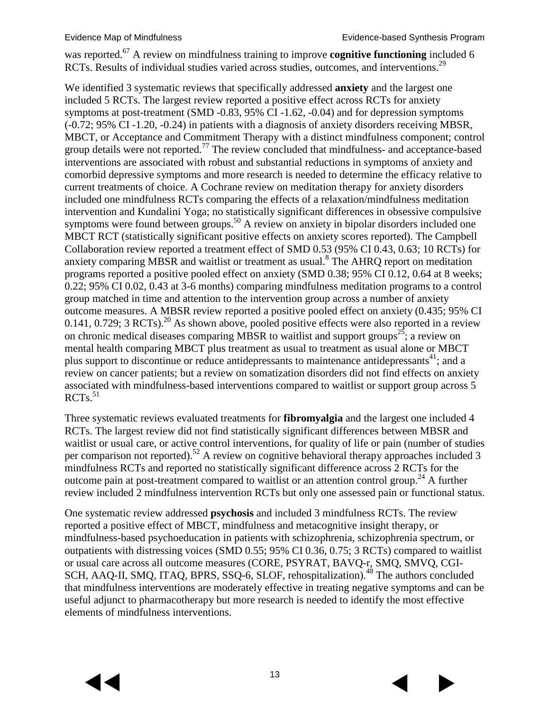was reported.<sup>67</sup> A review on mindfulness training to improve **cognitive functioning** included 6 RCTs. Results of individual studies varied across studies, outcomes, and interventions.<sup>29</sup>

We identified 3 systematic reviews that specifically addressed **anxiety** and the largest one included 5 RCTs. The largest review reported a positive effect across RCTs for anxiety symptoms at post-treatment (SMD -0.83, 95% CI -1.62, -0.04) and for depression symptoms (-0.72; 95% CI -1.20, -0.24) in patients with a diagnosis of anxiety disorders receiving MBSR, MBCT, or Acceptance and Commitment Therapy with a distinct mindfulness component; control group details were not reported.<sup>[77](#page-28-1)</sup> The review concluded that mindfulness- and acceptance-based interventions are associated with robust and substantial reductions in symptoms of anxiety and comorbid depressive symptoms and more research is needed to determine the efficacy relative to current treatments of choice. A Cochrane review on meditation therapy for anxiety disorders included one mindfulness RCTs comparing the effects of a relaxation/mindfulness meditation intervention and Kundalini Yoga; no statistically significant differences in obsessive compulsive symptoms were found between groups.<sup>[50](#page-26-6)</sup> A review on anxiety in bipolar disorders included one MBCT RCT (statistically significant positive effects on anxiety scores reported). The Campbell Collaboration review reported a treatment effect of SMD 0.53 (95% CI 0.43, 0.63; 10 RCTs) for anxiety comparing MBSR and waitlist or treatment as usual.<sup>8</sup> The AHRQ report on meditation programs reported a positive pooled effect on anxiety (SMD 0.38; 95% CI 0.12, 0.64 at 8 weeks; 0.22; 95% CI 0.02, 0.43 at 3-6 months) comparing mindfulness meditation programs to a control group matched in time and attention to the intervention group across a number of anxiety outcome measures. A MBSR review reported a positive pooled effect on anxiety (0.435; 95% CI 0.141, 0.729; 3 RCTs).<sup>[20](#page-24-0)</sup> As shown above, pooled positive effects were also reported in a review on chronic medical diseases comparing MBSR to waitlist and support groups<sup>25</sup>; a review on mental health comparing MBCT plus treatment as usual to treatment as usual alone or MBCT plus support to discontinue or reduce antidepressants to maintenance antidepressants<sup>[41](#page-25-3)</sup>; and a review on cancer patients; but a review on somatization disorders did not find effects on anxiety associated with mindfulness-based interventions compared to waitlist or support group across 5 RCTs. [51](#page-26-3)

Three systematic reviews evaluated treatments for **fibromyalgia** and the largest one included 4 RCTs. The largest review did not find statistically significant differences between MBSR and waitlist or usual care, or active control interventions, for quality of life or pain (number of studies per comparison not reported).<sup>[52](#page-26-5)</sup> A review on cognitive behavioral therapy approaches included 3 mindfulness RCTs and reported no statistically significant difference across 2 RCTs for the outcome pain at post-treatment compared to waitlist or an attention control group.<sup>[24](#page-24-2)</sup> A further review included 2 mindfulness intervention RCTs but only one assessed pain or functional status.

One systematic review addressed **psychosis** and included 3 mindfulness RCTs. The review reported a positive effect of MBCT, mindfulness and metacognitive insight therapy, or mindfulness-based psychoeducation in patients with schizophrenia, schizophrenia spectrum, or outpatients with distressing voices (SMD 0.55; 95% CI 0.36, 0.75; 3 RCTs) compared to waitlist or usual care across all outcome measures (CORE, PSYRAT, BAVQ-r, SMQ, SMVQ, CGI-SCH, AAQ-II, SMQ, ITAQ, BPRS, SSQ-6, SLOF, rehospitalization).<sup>[48](#page-26-7)</sup> The authors concluded that mindfulness interventions are moderately effective in treating negative symptoms and can be useful adjunct to pharmacotherapy but more research is needed to identify the most effective elements of mindfulness interventions.

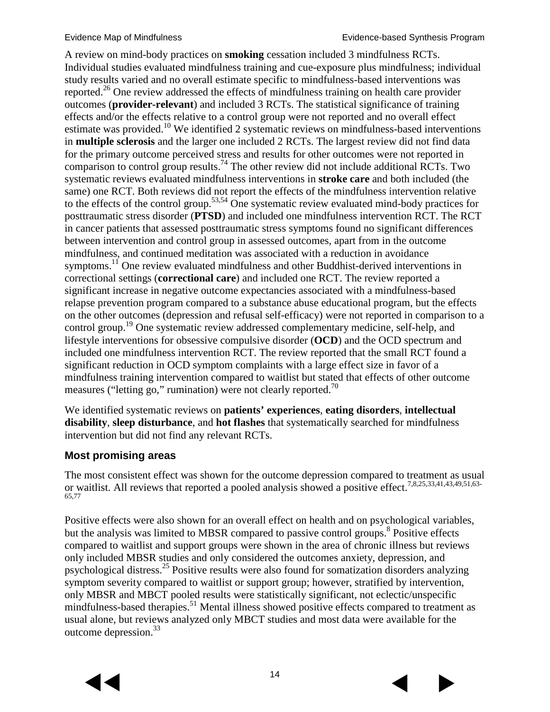A review on mind-body practices on **smoking** cessation included 3 mindfulness RCTs. Individual studies evaluated mindfulness training and cue-exposure plus mindfulness; individual study results varied and no overall estimate specific to mindfulness-based interventions was reported.<sup>[26](#page-24-4)</sup> One review addressed the effects of mindfulness training on health care provider outcomes (**provider-relevant**) and included 3 RCTs. The statistical significance of training effects and/or the effects relative to a control group were not reported and no overall effect estimate was provided[.10](#page-23-7) We identified 2 systematic reviews on mindfulness-based interventions in **multiple sclerosis** and the larger one included 2 RCTs. The largest review did not find data for the primary outcome perceived stress and results for other outcomes were not reported in comparison to control group results.<sup>74</sup> The other review did not include additional RCTs. Two systematic reviews evaluated mindfulness interventions in **stroke care** and both included (the same) one RCT. Both reviews did not report the effects of the mindfulness intervention relative to the effects of the control group.[53,](#page-26-8)[54](#page-26-9) One systematic review evaluated mind-body practices for posttraumatic stress disorder (**PTSD**) and included one mindfulness intervention RCT. The RCT in cancer patients that assessed posttraumatic stress symptoms found no significant differences between intervention and control group in assessed outcomes, apart from in the outcome mindfulness, and continued meditation was associated with a reduction in avoidance symptoms.<sup>[11](#page-23-8)</sup> One review evaluated mindfulness and other Buddhist-derived interventions in correctional settings (**correctional care**) and included one RCT. The review reported a significant increase in negative outcome expectancies associated with a mindfulness-based relapse prevention program compared to a substance abuse educational program, but the effects on the other outcomes (depression and refusal self-efficacy) were not reported in comparison to a control group.<sup>[19](#page-24-5)</sup> One systematic review addressed complementary medicine, self-help, and lifestyle interventions for obsessive compulsive disorder (**OCD**) and the OCD spectrum and included one mindfulness intervention RCT. The review reported that the small RCT found a significant reduction in OCD symptom complaints with a large effect size in favor of a mindfulness training intervention compared to waitlist but stated that effects of other outcome measures ("letting go," rumination) were not clearly reported.<sup>70</sup>

We identified systematic reviews on **patients' experiences**, **eating disorders**, **intellectual disability**, **sleep disturbance**, and **hot flashes** that systematically searched for mindfulness intervention but did not find any relevant RCTs.

#### **Most promising areas**

The most consistent effect was shown for the outcome depression compared to treatment as usual or waitlist. All reviews that reported a pooled analysis showed a positive effect.<sup>7,[8](#page-23-4)[,25](#page-24-1)[,33](#page-25-2)[,41](#page-25-3)[,43](#page-25-1)[,49](#page-26-2)[,51](#page-26-3)[,63-](#page-27-2)</sup> [65](#page-27-2)[,77](#page-28-1)

Positive effects were also shown for an overall effect on health and on psychological variables, but the analysis was limited to MBSR compared to passive control groups.<sup>8</sup> Positive effects compared to waitlist and support groups were shown in the area of chronic illness but reviews only included MBSR studies and only considered the outcomes anxiety, depression, and psychological distress.[25](#page-24-1) Positive results were also found for somatization disorders analyzing symptom severity compared to waitlist or support group; however, stratified by intervention, only MBSR and MBCT pooled results were statistically significant, not eclectic/unspecific mindfulness-based therapies.<sup>[51](#page-26-3)</sup> Mental illness showed positive effects compared to treatment as usual alone, but reviews analyzed only MBCT studies and most data were available for the outcome depression[.33](#page-25-2)



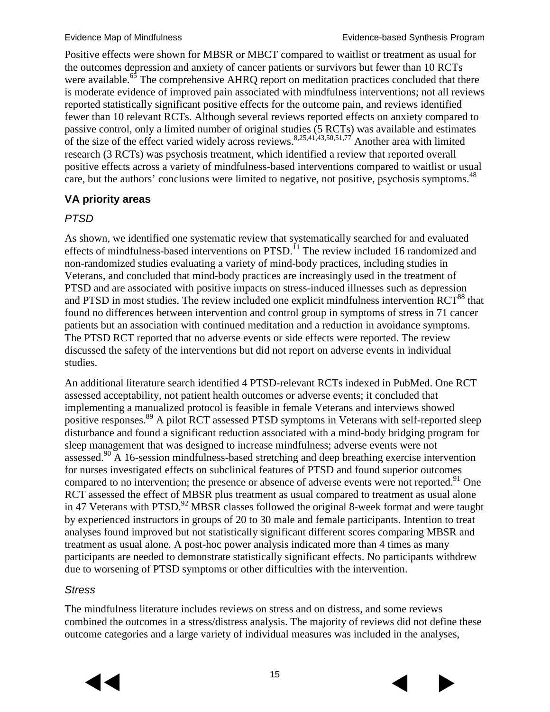Positive effects were shown for MBSR or MBCT compared to waitlist or treatment as usual for the outcomes depression and anxiety of cancer patients or survivors but fewer than 10 RCTs were available.<sup>[65](#page-27-3)</sup> The comprehensive AHRQ report on meditation practices concluded that there is moderate evidence of improved pain associated with mindfulness interventions; not all reviews reported statistically significant positive effects for the outcome pain, and reviews identified fewer than 10 relevant RCTs. Although several reviews reported effects on anxiety compared to passive control, only a limited number of original studies (5 RCTs) was available and estimates of the size of the effect varied widely across reviews.<sup>[8](#page-23-4)[,25](#page-24-1)[,41](#page-25-3)[,43](#page-25-1)[,50](#page-26-6)[,51](#page-26-3)[,77](#page-28-1)</sup> Another area with limited research (3 RCTs) was psychosis treatment, which identified a review that reported overall positive effects across a variety of mindfulness-based interventions compared to waitlist or usual care, but the authors' conclusions were limited to negative, not positive, psychosis symptoms.<sup>48</sup>

#### **VA priority areas**

#### *PTSD*

As shown, we identified one systematic review that systematically searched for and evaluated effects of mindfulness-based interventions on PTSD.<sup>[11](#page-23-8)</sup> The review included 16 randomized and non-randomized studies evaluating a variety of mind-body practices, including studies in Veterans, and concluded that mind-body practices are increasingly used in the treatment of PTSD and are associated with positive impacts on stress-induced illnesses such as depression and PTSD in most studies. The review included one explicit mindfulness intervention RCT<sup>88</sup> that found no differences between intervention and control group in symptoms of stress in 71 cancer patients but an association with continued meditation and a reduction in avoidance symptoms. The PTSD RCT reported that no adverse events or side effects were reported. The review discussed the safety of the interventions but did not report on adverse events in individual studies.

An additional literature search identified 4 PTSD-relevant RCTs indexed in PubMed. One RCT assessed acceptability, not patient health outcomes or adverse events; it concluded that implementing a manualized protocol is feasible in female Veterans and interviews showed positive responses. [89](#page-28-4) A pilot RCT assessed PTSD symptoms in Veterans with self-reported sleep disturbance and found a significant reduction associated with a mind-body bridging program for sleep management that was designed to increase mindfulness; adverse events were not assessed.<sup>[90](#page-29-0)</sup> A 16-session mindfulness-based stretching and deep breathing exercise intervention for nurses investigated effects on subclinical features of PTSD and found superior outcomes compared to no intervention; the presence or absence of adverse events were not reported.<sup>[91](#page-29-1)</sup> One RCT assessed the effect of MBSR plus treatment as usual compared to treatment as usual alone in 47 Veterans with PTSD.<sup>92</sup> MBSR classes followed the original 8-week format and were taught by experienced instructors in groups of 20 to 30 male and female participants. Intention to treat analyses found improved but not statistically significant different scores comparing MBSR and treatment as usual alone. A post-hoc power analysis indicated more than 4 times as many participants are needed to demonstrate statistically significant effects. No participants withdrew due to worsening of PTSD symptoms or other difficulties with the intervention.

#### *Stress*

The mindfulness literature includes reviews on stress and on distress, and some reviews combined the outcomes in a stress/distress analysis. The majority of reviews did not define these outcome categories and a large variety of individual measures was included in the analyses,



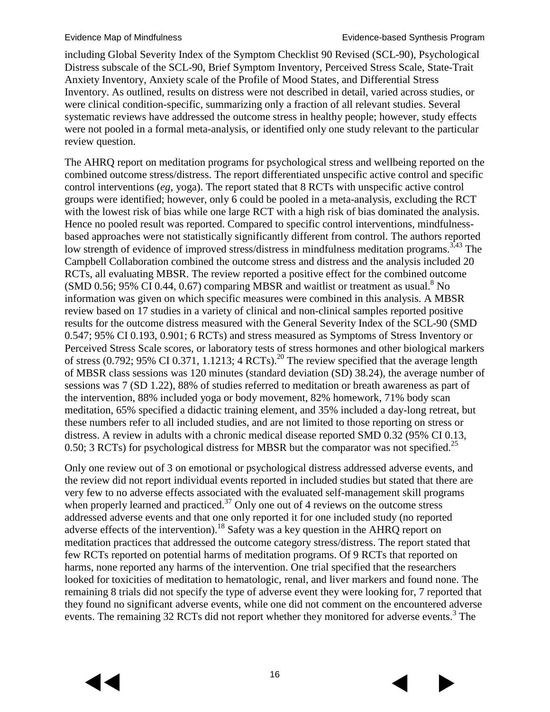including Global Severity Index of the Symptom Checklist 90 Revised (SCL-90), Psychological Distress subscale of the SCL-90, Brief Symptom Inventory, Perceived Stress Scale, State-Trait Anxiety Inventory, Anxiety scale of the Profile of Mood States, and Differential Stress Inventory. As outlined, results on distress were not described in detail, varied across studies, or were clinical condition-specific, summarizing only a fraction of all relevant studies. Several systematic reviews have addressed the outcome stress in healthy people; however, study effects were not pooled in a formal meta-analysis, or identified only one study relevant to the particular review question.

The AHRQ report on meditation programs for psychological stress and wellbeing reported on the combined outcome stress/distress. The report differentiated unspecific active control and specific control interventions (*eg*, yoga). The report stated that 8 RCTs with unspecific active control groups were identified; however, only 6 could be pooled in a meta-analysis, excluding the RCT with the lowest risk of bias while one large RCT with a high risk of bias dominated the analysis. Hence no pooled result was reported. Compared to specific control interventions, mindfulnessbased approaches were not statistically significantly different from control. The authors reported low strength of evidence of improved stress/distress in mindfulness meditation programs.<sup>3,[43](#page-25-1)</sup> The Campbell Collaboration combined the outcome stress and distress and the analysis included 20 RCTs, all evaluating MBSR. The review reported a positive effect for the combined outcome  $(SMD 0.56; 95\% \ CI 0.44, 0.67)$  comparing MBSR and waitlist or treatment as usual.<sup>8</sup> No information was given on which specific measures were combined in this analysis. A MBSR review based on 17 studies in a variety of clinical and non-clinical samples reported positive results for the outcome distress measured with the General Severity Index of the SCL-90 (SMD 0.547; 95% CI 0.193, 0.901; 6 RCTs) and stress measured as Symptoms of Stress Inventory or Perceived Stress Scale scores, or laboratory tests of stress hormones and other biological markers of stress (0.792; 95% CI 0.371, 1.1213; 4  $\text{RCTs}$ ).<sup>[20](#page-24-0)</sup> The review specified that the average length of MBSR class sessions was 120 minutes (standard deviation (SD) 38.24), the average number of sessions was 7 (SD 1.22), 88% of studies referred to meditation or breath awareness as part of the intervention, 88% included yoga or body movement, 82% homework, 71% body scan meditation, 65% specified a didactic training element, and 35% included a day-long retreat, but these numbers refer to all included studies, and are not limited to those reporting on stress or distress. A review in adults with a chronic medical disease reported SMD 0.32 (95% CI 0.13, 0.50; 3 RCTs) for psychological distress for MBSR but the comparator was not specified.<sup>[25](#page-24-1)</sup>

Only one review out of 3 on emotional or psychological distress addressed adverse events, and the review did not report individual events reported in included studies but stated that there are very few to no adverse effects associated with the evaluated self-management skill programs when properly learned and practiced.<sup>[37](#page-25-5)</sup> Only one out of 4 reviews on the outcome stress addressed adverse events and that one only reported it for one included study (no reported adverse effects of the intervention).<sup>[18](#page-24-6)</sup> Safety was a key question in the AHRQ report on meditation practices that addressed the outcome category stress/distress. The report stated that few RCTs reported on potential harms of meditation programs. Of 9 RCTs that reported on harms, none reported any harms of the intervention. One trial specified that the researchers looked for toxicities of meditation to hematologic, renal, and liver markers and found none. The remaining 8 trials did not specify the type of adverse event they were looking for, 7 reported that they found no significant adverse events, while one did not comment on the encountered adverse events. The remaining 32 RCTs did not report whether they monitored for adverse events.<sup>3</sup> The

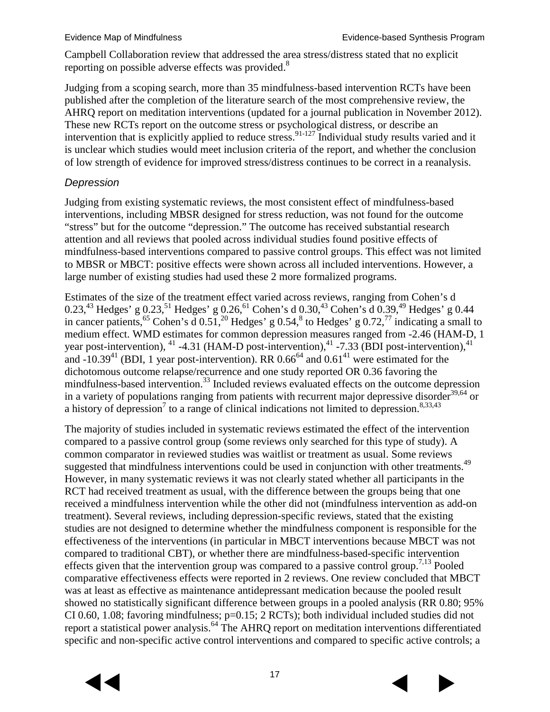Campbell Collaboration review that addressed the area stress/distress stated that no explicit reporting on possible adverse effects was provided.<sup>8</sup>

Judging from a scoping search, more than 35 mindfulness-based intervention RCTs have been published after the completion of the literature search of the most comprehensive review, the AHRQ report on meditation interventions (updated for a journal publication in November 2012). These new RCTs report on the outcome stress or psychological distress, or describe an intervention that is explicitly applied to reduce stress.<sup>[91-127](#page-29-1)</sup> Individual study results varied and it is unclear which studies would meet inclusion criteria of the report, and whether the conclusion of low strength of evidence for improved stress/distress continues to be correct in a reanalysis.

#### *Depression*

Judging from existing systematic reviews, the most consistent effect of mindfulness-based interventions, including MBSR designed for stress reduction, was not found for the outcome "stress" but for the outcome "depression." The outcome has received substantial research attention and all reviews that pooled across individual studies found positive effects of mindfulness-based interventions compared to passive control groups. This effect was not limited to MBSR or MBCT: positive effects were shown across all included interventions. However, a large number of existing studies had used these 2 more formalized programs.

Estimates of the size of the treatment effect varied across reviews, ranging from Cohen's d 0.23,<sup>43</sup> Hedges' g 0.23,<sup>[51](#page-26-3)</sup> Hedges' g 0.26,<sup>61</sup> Cohen's d 0.30,<sup>43</sup> Cohen's d 0.39,<sup>49</sup> Hedges' g 0.44 in cancer patients,<sup>[65](#page-27-3)</sup> Cohen's d  $0.51$ ,<sup>[20](#page-24-0)</sup> Hedges' g  $0.54$ ,<sup>[8](#page-23-4)</sup> to Hedges' g  $0.72$ ,<sup>[77](#page-28-1)</sup> indicating a small to medium effect. WMD estimates for common depression measures ranged from -2.46 (HAM-D, 1 year post-intervention),  $^{41}$  $^{41}$  $^{41}$  -4.31 (HAM-D post-intervention),  $^{41}$  -7.33 (BDI post-intervention),  $^{41}$ and  $-10.39<sup>41</sup>$  (BDI, 1 year post-intervention). RR 0.66<sup>64</sup> and 0.61<sup>41</sup> were estimated for the dichotomous outcome relapse/recurrence and one study reported OR 0.36 favoring the mindfulness-based intervention. [33](#page-25-2) Included reviews evaluated effects on the outcome depression in a variety of populations ranging from patients with recurrent major depressive disorder $39,64$  $39,64$  or a history of depression<sup>7</sup> to a range of clinical indications not limited to depression.<sup>[8](#page-23-4)[,33](#page-25-2)[,43](#page-25-1)</sup>

The majority of studies included in systematic reviews estimated the effect of the intervention compared to a passive control group (some reviews only searched for this type of study). A common comparator in reviewed studies was waitlist or treatment as usual. Some reviews suggested that mindfulness interventions could be used in conjunction with other treatments.<sup>49</sup> However, in many systematic reviews it was not clearly stated whether all participants in the RCT had received treatment as usual, with the difference between the groups being that one received a mindfulness intervention while the other did not (mindfulness intervention as add-on treatment). Several reviews, including depression-specific reviews, stated that the existing studies are not designed to determine whether the mindfulness component is responsible for the effectiveness of the interventions (in particular in MBCT interventions because MBCT was not compared to traditional CBT), or whether there are mindfulness-based-specific intervention effects given that the intervention group was compared to a passive control group.<sup>[7](#page-23-6)[,13](#page-23-9)</sup> Pooled comparative effectiveness effects were reported in 2 reviews. One review concluded that MBCT was at least as effective as maintenance antidepressant medication because the pooled result showed no statistically significant difference between groups in a pooled analysis (RR 0.80; 95% CI 0.60, 1.08; favoring mindfulness; p=0.15; 2 RCTs); both individual included studies did not report a statistical power analysis.<sup>[64](#page-27-1)</sup> The AHRQ report on meditation interventions differentiated specific and non-specific active control interventions and compared to specific active controls; a



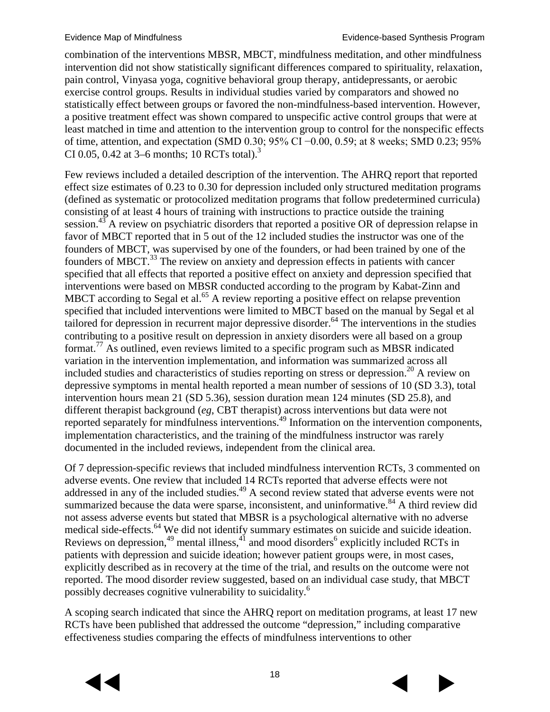combination of the interventions MBSR, MBCT, mindfulness meditation, and other mindfulness intervention did not show statistically significant differences compared to spirituality, relaxation, pain control, Vinyasa yoga, cognitive behavioral group therapy, antidepressants, or aerobic exercise control groups. Results in individual studies varied by comparators and showed no statistically effect between groups or favored the non-mindfulness-based intervention. However, a positive treatment effect was shown compared to unspecific active control groups that were at least matched in time and attention to the intervention group to control for the nonspecific effects of time, attention, and expectation (SMD 0.30; 95% CI −0.00, 0.59; at 8 weeks; SMD 0.23; 95% CI 0.05, 0.42 at 3–6 months; 10 RCTs total)[.](#page-23-2) 3

Few reviews included a detailed description of the intervention. The AHRQ report that reported effect size estimates of 0.23 to 0.30 for depression included only structured meditation programs (defined as systematic or protocolized meditation programs that follow predetermined curricula) consisting of at least 4 hours of training with instructions to practice outside the training session.<sup>[43](#page-25-1)</sup> A review on psychiatric disorders that reported a positive OR of depression relapse in favor of MBCT reported that in 5 out of the 12 included studies the instructor was one of the founders of MBCT, was supervised by one of the founders, or had been trained by one of the founders of MBCT.<sup>33</sup> The review on anxiety and depression effects in patients with cancer specified that all effects that reported a positive effect on anxiety and depression specified that interventions were based on MBSR conducted according to the program by Kabat-Zinn and MBCT according to Segal et al.<sup>65</sup> A review reporting a positive effect on relapse prevention specified that included interventions were limited to MBCT based on the manual by Segal et al tailored for depression in recurrent major depressive disorder.<sup>64</sup> The interventions in the studies contributing to a positive result on depression in anxiety disorders were all based on a group format.<sup>77</sup> As outlined, even reviews limited to a specific program such as MBSR indicated variation in the intervention implementation, and information was summarized across all included studies and characteristics of studies reporting on stress or depression.<sup>20</sup> A review on depressive symptoms in mental health reported a mean number of sessions of 10 (SD 3.3), total intervention hours mean 21 (SD 5.36), session duration mean 124 minutes (SD 25.8), and different therapist background (*eg*, CBT therapist) across interventions but data were not reported separately for mindfulness interventions[.49](#page-26-2) Information on the intervention components, implementation characteristics, and the training of the mindfulness instructor was rarely documented in the included reviews, independent from the clinical area.

Of 7 depression-specific reviews that included mindfulness intervention RCTs, 3 commented on adverse events. One review that included 14 RCTs reported that adverse effects were not addressed in any of the included studies.<sup>49</sup> A second review stated that adverse events were not summarized because the data were sparse, inconsistent, and uninformative.<sup>[84](#page-28-5)</sup> A third review did not assess adverse events but stated that MBSR is a psychological alternative with no adverse medical side-effects.<sup>[64](#page-27-1)</sup> We did not identify summary estimates on suicide and suicide ideation. Review[s](#page-23-3) on depression,  $49$  mental illness,  $41$  and mood disorders  $6$  explicitly included RCTs in patients with depression and suicide ideation; however patient groups were, in most cases, explicitly described as in recovery at the time of the trial, and results on the outcome were not reported. The mood disorder review suggested, based on an individual case study, that MBCT possibly decreases cognitive vulnerability to suicidality[.6](#page-23-3)

A scoping search indicated that since the AHRQ report on meditation programs, at least 17 new RCTs have been published that addressed the outcome "depression," including comparative effectiveness studies comparing the effects of mindfulness interventions to other



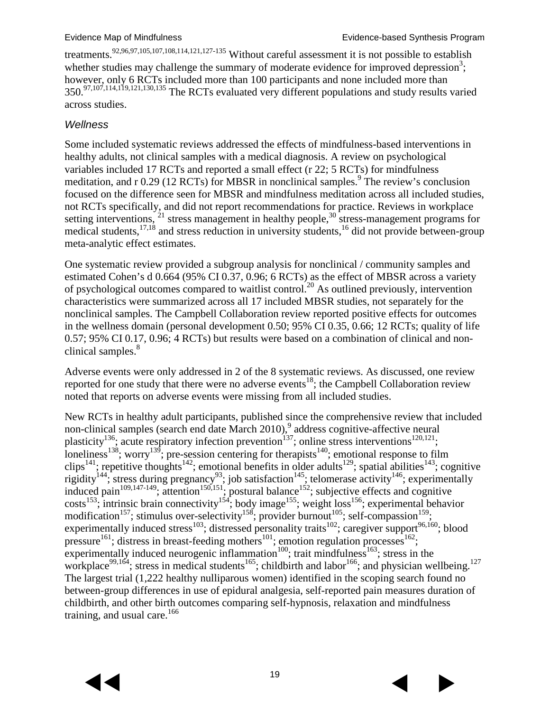treatments.<sup>[92](#page-29-2)[,96](#page-29-3)[,97](#page-29-4)[,105](#page-30-0)[,107](#page-30-1)[,108](#page-30-2)[,114](#page-30-3)[,121](#page-31-0)[,127-135](#page-31-1)</sup> Without careful assessment it is not possible to establish whether studies may challenge the summary of moderate evidence for improved depression<sup>3</sup>[;](#page-23-2) however, only 6 RCTs included more than 100 participants and none included more than 350.<sup>[97](#page-29-4)[,107](#page-30-1)[,114](#page-30-3)[,119](#page-31-2)[,121](#page-31-0)[,130](#page-31-3)[,135](#page-32-0)</sup> The RCTs evaluated very different populations and study results varied across studies.

#### *Wellness*

Some included systematic reviews addressed the effects of mindfulness-based interventions in healthy adults, not clinical samples with a medical diagnosis. A review on psychological variables included 17 RCTs and reported a small effect (r 22; 5 RCTs) for mindfulness meditation, and r  $0.29$  (12 RCTs) for MBSR in nonclinical samples.<sup>9</sup> The review's conclusion focused on the difference seen for MBSR and mindfulness meditation across all included studies, not RCTs specifically, and did not report recommendations for practice. Reviews in workplace setting interventions,  $21$  stress management in healthy people,  $30<sup>o</sup>$  $30<sup>o</sup>$  stress-management programs for medical students, $17,18$  $17,18$  and stress reduction in university students, $16$  did not provide between-group meta-analytic effect estimates.

One systematic review provided a subgroup analysis for nonclinical / community samples and estimated Cohen's d 0.664 (95% CI 0.37, 0.96; 6 RCTs) as the effect of MBSR across a variety of psychological outcomes compared to waitlist control.<sup>20</sup> As outlined previously, intervention characteristics were summarized across all 17 included MBSR studies, not separately for the nonclinical samples. The Campbell Collaboration review reported positive effects for outcomes in the wellness domain (personal development 0.50; 95% CI 0.35, 0.66; 12 RCTs; quality of life 0.57; 95% CI 0.17, 0.96; 4 RCTs) but results were based on a combination of clinical and non-clinical samples.<sup>[8](#page-23-4)</sup>

Adverse events were only addressed in 2 of the 8 systematic reviews. As discussed, one review reported for one study that there were no adverse events<sup>18</sup>; the Campbell Collaboration review noted that reports on adverse events were missing from all included studies.

New RCTs in healthy adult participants, published since the comprehensive review that included non-clinical samples (search end date March 2010), [9](#page-23-5) address cognitive-affective neural plasticity<sup>136</sup>; acute respiratory infection prevention<sup>137</sup>; online stress interventions<sup>[120](#page-31-4)[,121](#page-31-0)</sup>; loneliness<sup>138</sup>; worry<sup>139</sup>; pre-session centering for therapists<sup>140</sup>; emotional response to film clips<sup>[141](#page-32-6)</sup>; repetitive thoughts<sup>[142](#page-32-7)</sup>; emotional benefits in older adults<sup>129</sup>; spatial abilities<sup>143</sup>; cognitive rigidity<sup>144</sup>; stress during pregnancy<sup>93</sup>; job satisfaction<sup>145</sup>; telomerase activity<sup>146</sup>; experimentally induced pain<sup>[109,](#page-30-4)147-149</sup>; attention<sup>150,151</sup>; postural balance<sup>152</sup>; subjective effects and cognitive costs<sup>153</sup>; intrinsic brain connectivity<sup>154</sup>; body image<sup>155</sup>; weight loss<sup>156</sup>; experimental behavior modification<sup>157</sup>; stimulus over-selectivity<sup>158</sup>; provider burnout<sup>105</sup>; self-compassion<sup>159</sup>; experimentally induced stress<sup>103</sup>; distressed personality traits<sup>102</sup>; caregiver support<sup>[96,](#page-29-3)160</sup>; blood pressure<sup>161</sup>; distress in breast-feeding mothers<sup>101</sup>; emotion regulation processes<sup>162</sup>; experimentally induced neurogenic inflammation<sup>100</sup>; trait mindfulness<sup>163</sup>; stress in the workplace<sup>99,164</sup>; stress in medical students<sup>165</sup>; childbirth and labor<sup>166</sup>; and physician wellbeing.<sup>[127](#page-31-1)</sup> The largest trial (1,222 healthy nulliparous women) identified in the scoping search found no between-group differences in use of epidural analgesia, self-reported pain measures duration of childbirth, and other birth outcomes comparing self-hypnosis, relaxation and mindfulness training, and usual care.<sup>[166](#page-34-6)</sup>

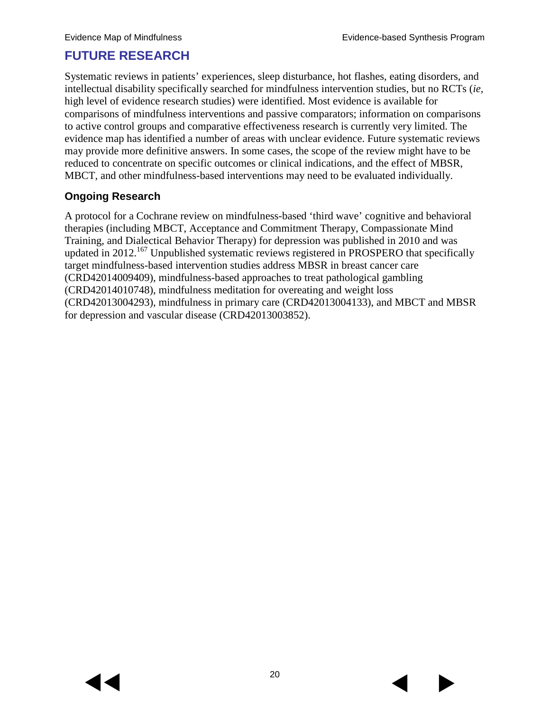### **FUTURE RESEARCH**

Systematic reviews in patients' experiences, sleep disturbance, hot flashes, eating disorders, and intellectual disability specifically searched for mindfulness intervention studies, but no RCTs (*ie,* high level of evidence research studies) were identified. Most evidence is available for comparisons of mindfulness interventions and passive comparators; information on comparisons to active control groups and comparative effectiveness research is currently very limited. The evidence map has identified a number of areas with unclear evidence. Future systematic reviews may provide more definitive answers. In some cases, the scope of the review might have to be reduced to concentrate on specific outcomes or clinical indications, and the effect of MBSR, MBCT, and other mindfulness-based interventions may need to be evaluated individually.

#### **Ongoing Research**

A protocol for a Cochrane review on mindfulness-based 'third wave' cognitive and behavioral therapies (including MBCT, Acceptance and Commitment Therapy, Compassionate Mind Training, and Dialectical Behavior Therapy) for depression was published in 2010 and was updated in 2012.<sup>[167](#page-34-7)</sup> Unpublished systematic reviews registered in PROSPERO that specifically target mindfulness-based intervention studies address MBSR in breast cancer care (CRD42014009409), mindfulness-based approaches to treat pathological gambling (CRD42014010748), mindfulness meditation for overeating and weight loss (CRD42013004293), mindfulness in primary care (CRD42013004133), and MBCT and MBSR for depression and vascular disease (CRD42013003852).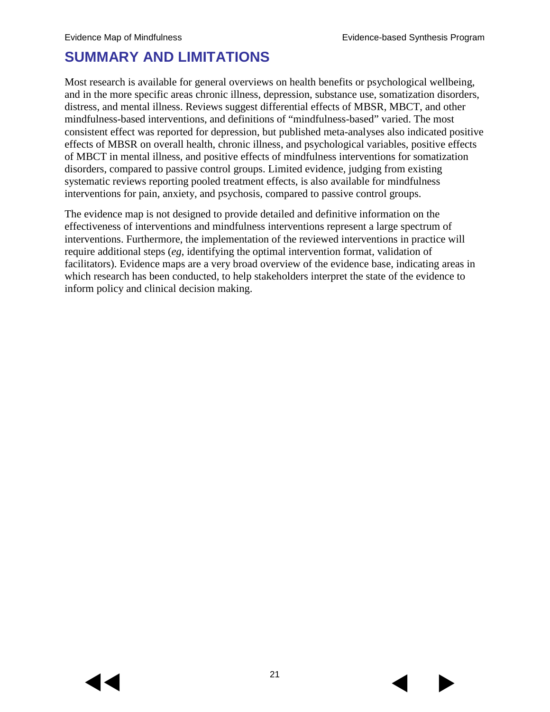# **SUMMARY AND LIMITATIONS**

Most research is available for general overviews on health benefits or psychological wellbeing, and in the more specific areas chronic illness, depression, substance use, somatization disorders, distress, and mental illness. Reviews suggest differential effects of MBSR, MBCT, and other mindfulness-based interventions, and definitions of "mindfulness-based" varied. The most consistent effect was reported for depression, but published meta-analyses also indicated positive effects of MBSR on overall health, chronic illness, and psychological variables, positive effects of MBCT in mental illness, and positive effects of mindfulness interventions for somatization disorders, compared to passive control groups. Limited evidence, judging from existing systematic reviews reporting pooled treatment effects, is also available for mindfulness interventions for pain, anxiety, and psychosis, compared to passive control groups.

The evidence map is not designed to provide detailed and definitive information on the effectiveness of interventions and mindfulness interventions represent a large spectrum of interventions. Furthermore, the implementation of the reviewed interventions in practice will require additional steps (*eg*, identifying the optimal intervention format, validation of facilitators). Evidence maps are a very broad overview of the evidence base, indicating areas in which research has been conducted, to help stakeholders interpret the state of the evidence to inform policy and clinical decision making.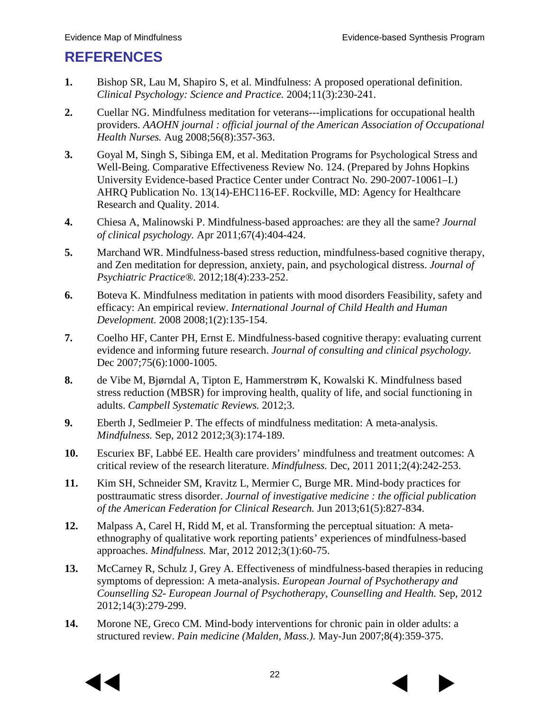# **REFERENCES**

- <span id="page-23-0"></span>**1.** Bishop SR, Lau M, Shapiro S, et al. Mindfulness: A proposed operational definition. *Clinical Psychology: Science and Practice.* 2004;11(3):230-241.
- <span id="page-23-1"></span>**2.** Cuellar NG. Mindfulness meditation for veterans---implications for occupational health providers. *AAOHN journal : official journal of the American Association of Occupational Health Nurses.* Aug 2008;56(8):357-363.
- <span id="page-23-2"></span>**3.** Goyal M, Singh S, Sibinga EM, et al. Meditation Programs for Psychological Stress and Well-Being. Comparative Effectiveness Review No. 124. (Prepared by Johns Hopkins University Evidence-based Practice Center under Contract No. 290-2007-10061–I.) AHRQ Publication No. 13(14)-EHC116-EF. Rockville, MD: Agency for Healthcare Research and Quality. 2014.
- **4.** Chiesa A, Malinowski P. Mindfulness-based approaches: are they all the same? *Journal of clinical psychology.* Apr 2011;67(4):404-424.
- **5.** Marchand WR. Mindfulness-based stress reduction, mindfulness-based cognitive therapy, and Zen meditation for depression, anxiety, pain, and psychological distress. *Journal of Psychiatric Practice®.* 2012;18(4):233-252.
- <span id="page-23-3"></span>**6.** Boteva K. Mindfulness meditation in patients with mood disorders Feasibility, safety and efficacy: An empirical review. *International Journal of Child Health and Human Development.* 2008 2008;1(2):135-154.
- <span id="page-23-6"></span>**7.** Coelho HF, Canter PH, Ernst E. Mindfulness-based cognitive therapy: evaluating current evidence and informing future research. *Journal of consulting and clinical psychology.*  Dec 2007;75(6):1000-1005.
- <span id="page-23-4"></span>**8.** de Vibe M, Bjørndal A, Tipton E, Hammerstrøm K, Kowalski K. Mindfulness based stress reduction (MBSR) for improving health, quality of life, and social functioning in adults. *Campbell Systematic Reviews.* 2012;3.
- <span id="page-23-5"></span>**9.** Eberth J, Sedlmeier P. The effects of mindfulness meditation: A meta-analysis. *Mindfulness.* Sep, 2012 2012;3(3):174-189.
- <span id="page-23-7"></span>**10.** Escuriex BF, Labbé EE. Health care providers' mindfulness and treatment outcomes: A critical review of the research literature. *Mindfulness.* Dec, 2011 2011;2(4):242-253.
- <span id="page-23-8"></span>**11.** Kim SH, Schneider SM, Kravitz L, Mermier C, Burge MR. Mind-body practices for posttraumatic stress disorder. *Journal of investigative medicine : the official publication of the American Federation for Clinical Research.* Jun 2013;61(5):827-834.
- **12.** Malpass A, Carel H, Ridd M, et al. Transforming the perceptual situation: A metaethnography of qualitative work reporting patients' experiences of mindfulness-based approaches. *Mindfulness.* Mar, 2012 2012;3(1):60-75.
- <span id="page-23-9"></span>**13.** McCarney R, Schulz J, Grey A. Effectiveness of mindfulness-based therapies in reducing symptoms of depression: A meta-analysis. *European Journal of Psychotherapy and Counselling S2- European Journal of Psychotherapy, Counselling and Health.* Sep, 2012 2012;14(3):279-299.
- **14.** Morone NE, Greco CM. Mind-body interventions for chronic pain in older adults: a structured review. *Pain medicine (Malden, Mass.).* May-Jun 2007;8(4):359-375.



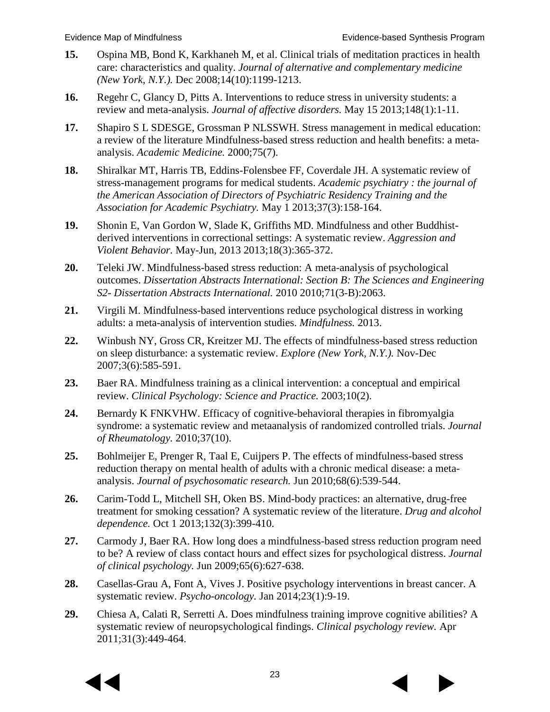- **15.** Ospina MB, Bond K, Karkhaneh M, et al. Clinical trials of meditation practices in health care: characteristics and quality. *Journal of alternative and complementary medicine (New York, N.Y.).* Dec 2008;14(10):1199-1213.
- <span id="page-24-9"></span>**16.** Regehr C, Glancy D, Pitts A. Interventions to reduce stress in university students: a review and meta-analysis. *Journal of affective disorders.* May 15 2013;148(1):1-11.
- <span id="page-24-8"></span>**17.** Shapiro S L SDESGE, Grossman P NLSSWH. Stress management in medical education: a review of the literature Mindfulness-based stress reduction and health benefits: a metaanalysis. *Academic Medicine.* 2000;75(7).
- <span id="page-24-6"></span>**18.** Shiralkar MT, Harris TB, Eddins-Folensbee FF, Coverdale JH. A systematic review of stress-management programs for medical students. *Academic psychiatry : the journal of the American Association of Directors of Psychiatric Residency Training and the Association for Academic Psychiatry.* May 1 2013;37(3):158-164.
- <span id="page-24-5"></span>**19.** Shonin E, Van Gordon W, Slade K, Griffiths MD. Mindfulness and other Buddhistderived interventions in correctional settings: A systematic review. *Aggression and Violent Behavior.* May-Jun, 2013 2013;18(3):365-372.
- <span id="page-24-0"></span>**20.** Teleki JW. Mindfulness-based stress reduction: A meta-analysis of psychological outcomes. *Dissertation Abstracts International: Section B: The Sciences and Engineering S2- Dissertation Abstracts International.* 2010 2010;71(3-B):2063.
- <span id="page-24-7"></span>**21.** Virgili M. Mindfulness-based interventions reduce psychological distress in working adults: a meta-analysis of intervention studies. *Mindfulness.* 2013.
- **22.** Winbush NY, Gross CR, Kreitzer MJ. The effects of mindfulness-based stress reduction on sleep disturbance: a systematic review. *Explore (New York, N.Y.).* Nov-Dec 2007;3(6):585-591.
- **23.** Baer RA. Mindfulness training as a clinical intervention: a conceptual and empirical review. *Clinical Psychology: Science and Practice.* 2003;10(2).
- <span id="page-24-2"></span>**24.** Bernardy K FNKVHW. Efficacy of cognitive-behavioral therapies in fibromyalgia syndrome: a systematic review and metaanalysis of randomized controlled trials. *Journal of Rheumatology.* 2010;37(10).
- <span id="page-24-1"></span>**25.** Bohlmeijer E, Prenger R, Taal E, Cuijpers P. The effects of mindfulness-based stress reduction therapy on mental health of adults with a chronic medical disease: a metaanalysis. *Journal of psychosomatic research.* Jun 2010;68(6):539-544.
- <span id="page-24-4"></span>**26.** Carim-Todd L, Mitchell SH, Oken BS. Mind-body practices: an alternative, drug-free treatment for smoking cessation? A systematic review of the literature. *Drug and alcohol dependence.* Oct 1 2013;132(3):399-410.
- **27.** Carmody J, Baer RA. How long does a mindfulness-based stress reduction program need to be? A review of class contact hours and effect sizes for psychological distress. *Journal of clinical psychology.* Jun 2009;65(6):627-638.
- **28.** Casellas-Grau A, Font A, Vives J. Positive psychology interventions in breast cancer. A systematic review. *Psycho-oncology.* Jan 2014;23(1):9-19.
- <span id="page-24-3"></span>**29.** Chiesa A, Calati R, Serretti A. Does mindfulness training improve cognitive abilities? A systematic review of neuropsychological findings. *Clinical psychology review.* Apr 2011;31(3):449-464.

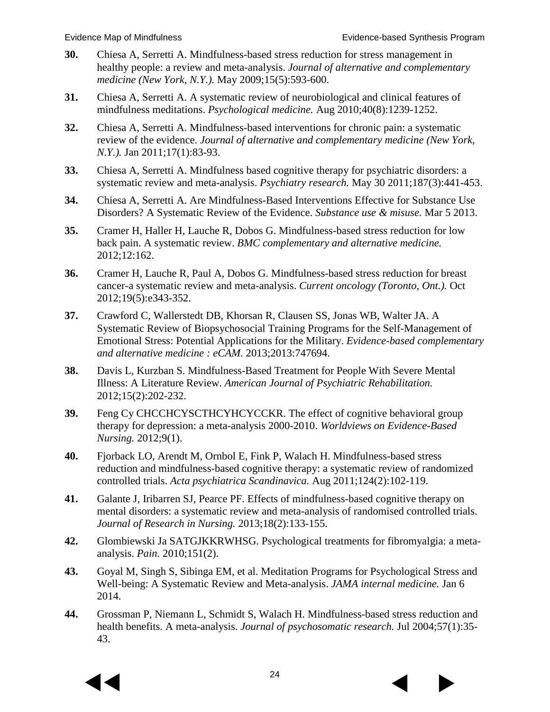- <span id="page-25-6"></span>**30.** Chiesa A, Serretti A. Mindfulness-based stress reduction for stress management in healthy people: a review and meta-analysis. *Journal of alternative and complementary medicine (New York, N.Y.).* May 2009;15(5):593-600.
- **31.** Chiesa A, Serretti A. A systematic review of neurobiological and clinical features of mindfulness meditations. *Psychological medicine.* Aug 2010;40(8):1239-1252.
- **32.** Chiesa A, Serretti A. Mindfulness-based interventions for chronic pain: a systematic review of the evidence. *Journal of alternative and complementary medicine (New York, N.Y.).* Jan 2011;17(1):83-93.
- <span id="page-25-2"></span>**33.** Chiesa A, Serretti A. Mindfulness based cognitive therapy for psychiatric disorders: a systematic review and meta-analysis. *Psychiatry research.* May 30 2011;187(3):441-453.
- <span id="page-25-4"></span>**34.** Chiesa A, Serretti A. Are Mindfulness-Based Interventions Effective for Substance Use Disorders? A Systematic Review of the Evidence. *Substance use & misuse.* Mar 5 2013.
- **35.** Cramer H, Haller H, Lauche R, Dobos G. Mindfulness-based stress reduction for low back pain. A systematic review. *BMC complementary and alternative medicine.*  2012;12:162.
- **36.** Cramer H, Lauche R, Paul A, Dobos G. Mindfulness-based stress reduction for breast cancer-a systematic review and meta-analysis. *Current oncology (Toronto, Ont.).* Oct 2012;19(5):e343-352.
- <span id="page-25-5"></span>**37.** Crawford C, Wallerstedt DB, Khorsan R, Clausen SS, Jonas WB, Walter JA. A Systematic Review of Biopsychosocial Training Programs for the Self-Management of Emotional Stress: Potential Applications for the Military. *Evidence-based complementary and alternative medicine : eCAM.* 2013;2013:747694.
- **38.** Davis L, Kurzban S. Mindfulness-Based Treatment for People With Severe Mental Illness: A Literature Review. *American Journal of Psychiatric Rehabilitation.*  2012;15(2):202-232.
- <span id="page-25-7"></span>**39.** Feng Cy CHCCHCYSCTHCYHCYCCKR. The effect of cognitive behavioral group therapy for depression: a meta-analysis 2000-2010. *Worldviews on Evidence-Based Nursing.* 2012;9(1).
- **40.** Fjorback LO, Arendt M, Ornbol E, Fink P, Walach H. Mindfulness-based stress reduction and mindfulness-based cognitive therapy: a systematic review of randomized controlled trials. *Acta psychiatrica Scandinavica.* Aug 2011;124(2):102-119.
- <span id="page-25-3"></span>**41.** Galante J, Iribarren SJ, Pearce PF. Effects of mindfulness-based cognitive therapy on mental disorders: a systematic review and meta-analysis of randomised controlled trials. *Journal of Research in Nursing.* 2013;18(2):133-155.
- **42.** Glombiewski Ja SATGJKKRWHSG. Psychological treatments for fibromyalgia: a metaanalysis. *Pain.* 2010;151(2).
- <span id="page-25-1"></span>**43.** Goyal M, Singh S, Sibinga EM, et al. Meditation Programs for Psychological Stress and Well-being: A Systematic Review and Meta-analysis. *JAMA internal medicine.* Jan 6 2014.
- <span id="page-25-0"></span>**44.** Grossman P, Niemann L, Schmidt S, Walach H. Mindfulness-based stress reduction and health benefits. A meta-analysis. *Journal of psychosomatic research.* Jul 2004;57(1):35- 43.



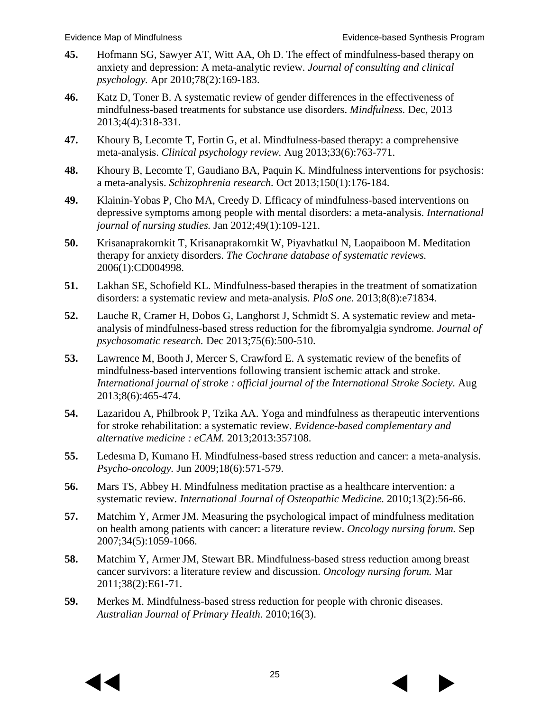- <span id="page-26-4"></span>**45.** Hofmann SG, Sawyer AT, Witt AA, Oh D. The effect of mindfulness-based therapy on anxiety and depression: A meta-analytic review. *Journal of consulting and clinical psychology.* Apr 2010;78(2):169-183.
- **46.** Katz D, Toner B. A systematic review of gender differences in the effectiveness of mindfulness-based treatments for substance use disorders. *Mindfulness.* Dec, 2013 2013;4(4):318-331.
- <span id="page-26-0"></span>**47.** Khoury B, Lecomte T, Fortin G, et al. Mindfulness-based therapy: a comprehensive meta-analysis. *Clinical psychology review.* Aug 2013;33(6):763-771.
- <span id="page-26-7"></span>**48.** Khoury B, Lecomte T, Gaudiano BA, Paquin K. Mindfulness interventions for psychosis: a meta-analysis. *Schizophrenia research.* Oct 2013;150(1):176-184.
- <span id="page-26-2"></span>**49.** Klainin-Yobas P, Cho MA, Creedy D. Efficacy of mindfulness-based interventions on depressive symptoms among people with mental disorders: a meta-analysis. *International journal of nursing studies.* Jan 2012;49(1):109-121.
- <span id="page-26-6"></span>**50.** Krisanaprakornkit T, Krisanaprakornkit W, Piyavhatkul N, Laopaiboon M. Meditation therapy for anxiety disorders. *The Cochrane database of systematic reviews.*  2006(1):CD004998.
- <span id="page-26-3"></span>**51.** Lakhan SE, Schofield KL. Mindfulness-based therapies in the treatment of somatization disorders: a systematic review and meta-analysis. *PloS one.* 2013;8(8):e71834.
- <span id="page-26-5"></span>**52.** Lauche R, Cramer H, Dobos G, Langhorst J, Schmidt S. A systematic review and metaanalysis of mindfulness-based stress reduction for the fibromyalgia syndrome. *Journal of psychosomatic research.* Dec 2013;75(6):500-510.
- <span id="page-26-8"></span>**53.** Lawrence M, Booth J, Mercer S, Crawford E. A systematic review of the benefits of mindfulness-based interventions following transient ischemic attack and stroke. *International journal of stroke : official journal of the International Stroke Society. Aug* 2013;8(6):465-474.
- <span id="page-26-9"></span>**54.** Lazaridou A, Philbrook P, Tzika AA. Yoga and mindfulness as therapeutic interventions for stroke rehabilitation: a systematic review. *Evidence-based complementary and alternative medicine : eCAM.* 2013;2013:357108.
- <span id="page-26-1"></span>**55.** Ledesma D, Kumano H. Mindfulness-based stress reduction and cancer: a meta-analysis. *Psycho-oncology.* Jun 2009;18(6):571-579.
- **56.** Mars TS, Abbey H. Mindfulness meditation practise as a healthcare intervention: a systematic review. *International Journal of Osteopathic Medicine.* 2010;13(2):56-66.
- **57.** Matchim Y, Armer JM. Measuring the psychological impact of mindfulness meditation on health among patients with cancer: a literature review. *Oncology nursing forum.* Sep 2007;34(5):1059-1066.
- **58.** Matchim Y, Armer JM, Stewart BR. Mindfulness-based stress reduction among breast cancer survivors: a literature review and discussion. *Oncology nursing forum.* Mar 2011;38(2):E61-71.
- **59.** Merkes M. Mindfulness-based stress reduction for people with chronic diseases. *Australian Journal of Primary Health.* 2010;16(3).



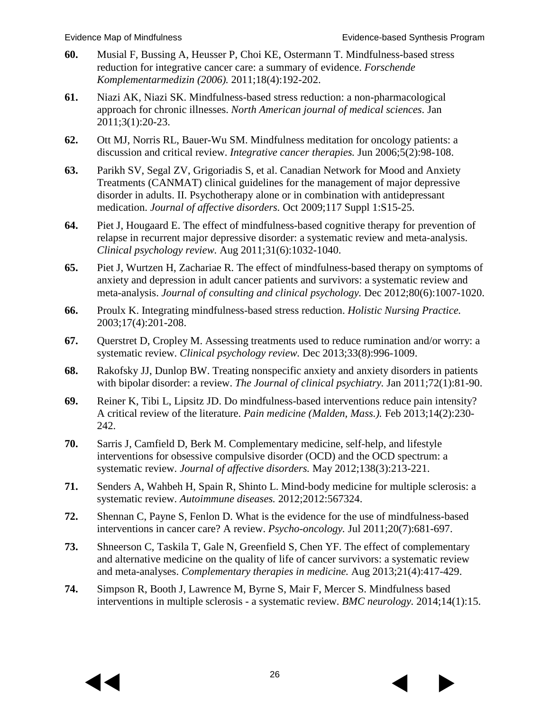- <span id="page-27-4"></span>**60.** Musial F, Bussing A, Heusser P, Choi KE, Ostermann T. Mindfulness-based stress reduction for integrative cancer care: a summary of evidence. *Forschende Komplementarmedizin (2006).* 2011;18(4):192-202.
- <span id="page-27-0"></span>**61.** Niazi AK, Niazi SK. Mindfulness-based stress reduction: a non-pharmacological approach for chronic illnesses. *North American journal of medical sciences.* Jan 2011;3(1):20-23.
- **62.** Ott MJ, Norris RL, Bauer-Wu SM. Mindfulness meditation for oncology patients: a discussion and critical review. *Integrative cancer therapies.* Jun 2006;5(2):98-108.
- <span id="page-27-2"></span>**63.** Parikh SV, Segal ZV, Grigoriadis S, et al. Canadian Network for Mood and Anxiety Treatments (CANMAT) clinical guidelines for the management of major depressive disorder in adults. II. Psychotherapy alone or in combination with antidepressant medication. *Journal of affective disorders.* Oct 2009;117 Suppl 1:S15-25.
- <span id="page-27-1"></span>**64.** Piet J, Hougaard E. The effect of mindfulness-based cognitive therapy for prevention of relapse in recurrent major depressive disorder: a systematic review and meta-analysis. *Clinical psychology review.* Aug 2011;31(6):1032-1040.
- <span id="page-27-3"></span>**65.** Piet J, Wurtzen H, Zachariae R. The effect of mindfulness-based therapy on symptoms of anxiety and depression in adult cancer patients and survivors: a systematic review and meta-analysis. *Journal of consulting and clinical psychology.* Dec 2012;80(6):1007-1020.
- **66.** Proulx K. Integrating mindfulness-based stress reduction. *Holistic Nursing Practice.*  2003;17(4):201-208.
- <span id="page-27-6"></span>**67.** Querstret D, Cropley M. Assessing treatments used to reduce rumination and/or worry: a systematic review. *Clinical psychology review.* Dec 2013;33(8):996-1009.
- **68.** Rakofsky JJ, Dunlop BW. Treating nonspecific anxiety and anxiety disorders in patients with bipolar disorder: a review. *The Journal of clinical psychiatry.* Jan 2011;72(1):81-90.
- **69.** Reiner K, Tibi L, Lipsitz JD. Do mindfulness-based interventions reduce pain intensity? A critical review of the literature. *Pain medicine (Malden, Mass.).* Feb 2013;14(2):230- 242.
- <span id="page-27-8"></span>**70.** Sarris J, Camfield D, Berk M. Complementary medicine, self-help, and lifestyle interventions for obsessive compulsive disorder (OCD) and the OCD spectrum: a systematic review. *Journal of affective disorders.* May 2012;138(3):213-221.
- **71.** Senders A, Wahbeh H, Spain R, Shinto L. Mind-body medicine for multiple sclerosis: a systematic review. *Autoimmune diseases.* 2012;2012:567324.
- **72.** Shennan C, Payne S, Fenlon D. What is the evidence for the use of mindfulness-based interventions in cancer care? A review. *Psycho-oncology.* Jul 2011;20(7):681-697.
- <span id="page-27-5"></span>**73.** Shneerson C, Taskila T, Gale N, Greenfield S, Chen YF. The effect of complementary and alternative medicine on the quality of life of cancer survivors: a systematic review and meta-analyses. *Complementary therapies in medicine.* Aug 2013;21(4):417-429.
- <span id="page-27-7"></span>**74.** Simpson R, Booth J, Lawrence M, Byrne S, Mair F, Mercer S. Mindfulness based interventions in multiple sclerosis - a systematic review. *BMC neurology.* 2014;14(1):15.



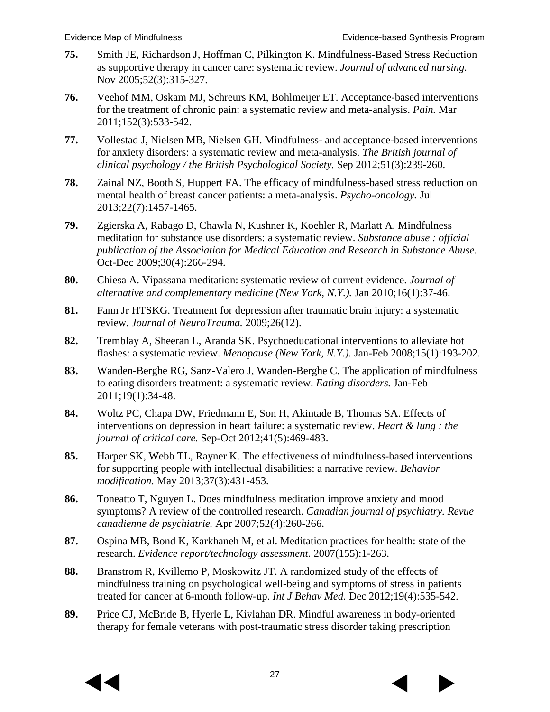- **75.** Smith JE, Richardson J, Hoffman C, Pilkington K. Mindfulness-Based Stress Reduction as supportive therapy in cancer care: systematic review. *Journal of advanced nursing.*  Nov 2005;52(3):315-327.
- <span id="page-28-2"></span>**76.** Veehof MM, Oskam MJ, Schreurs KM, Bohlmeijer ET. Acceptance-based interventions for the treatment of chronic pain: a systematic review and meta-analysis. *Pain.* Mar 2011;152(3):533-542.
- <span id="page-28-1"></span>**77.** Vollestad J, Nielsen MB, Nielsen GH. Mindfulness- and acceptance-based interventions for anxiety disorders: a systematic review and meta-analysis. *The British journal of clinical psychology / the British Psychological Society.* Sep 2012;51(3):239-260.
- **78.** Zainal NZ, Booth S, Huppert FA. The efficacy of mindfulness-based stress reduction on mental health of breast cancer patients: a meta-analysis. *Psycho-oncology.* Jul 2013;22(7):1457-1465.
- **79.** Zgierska A, Rabago D, Chawla N, Kushner K, Koehler R, Marlatt A. Mindfulness meditation for substance use disorders: a systematic review. *Substance abuse : official publication of the Association for Medical Education and Research in Substance Abuse.*  Oct-Dec 2009;30(4):266-294.
- **80.** Chiesa A. Vipassana meditation: systematic review of current evidence. *Journal of alternative and complementary medicine (New York, N.Y.).* Jan 2010;16(1):37-46.
- **81.** Fann Jr HTSKG. Treatment for depression after traumatic brain injury: a systematic review. *Journal of NeuroTrauma.* 2009;26(12).
- **82.** Tremblay A, Sheeran L, Aranda SK. Psychoeducational interventions to alleviate hot flashes: a systematic review. *Menopause (New York, N.Y.).* Jan-Feb 2008;15(1):193-202.
- **83.** Wanden-Berghe RG, Sanz-Valero J, Wanden-Berghe C. The application of mindfulness to eating disorders treatment: a systematic review. *Eating disorders.* Jan-Feb 2011;19(1):34-48.
- <span id="page-28-5"></span>**84.** Woltz PC, Chapa DW, Friedmann E, Son H, Akintade B, Thomas SA. Effects of interventions on depression in heart failure: a systematic review. *Heart & lung : the journal of critical care.* Sep-Oct 2012;41(5):469-483.
- **85.** Harper SK, Webb TL, Rayner K. The effectiveness of mindfulness-based interventions for supporting people with intellectual disabilities: a narrative review. *Behavior modification.* May 2013;37(3):431-453.
- **86.** Toneatto T, Nguyen L. Does mindfulness meditation improve anxiety and mood symptoms? A review of the controlled research. *Canadian journal of psychiatry. Revue canadienne de psychiatrie.* Apr 2007;52(4):260-266.
- <span id="page-28-0"></span>**87.** Ospina MB, Bond K, Karkhaneh M, et al. Meditation practices for health: state of the research. *Evidence report/technology assessment.* 2007(155):1-263.
- <span id="page-28-3"></span>**88.** Branstrom R, Kvillemo P, Moskowitz JT. A randomized study of the effects of mindfulness training on psychological well-being and symptoms of stress in patients treated for cancer at 6-month follow-up. *Int J Behav Med.* Dec 2012;19(4):535-542.
- <span id="page-28-4"></span>**89.** Price CJ, McBride B, Hyerle L, Kivlahan DR. Mindful awareness in body-oriented therapy for female veterans with post-traumatic stress disorder taking prescription



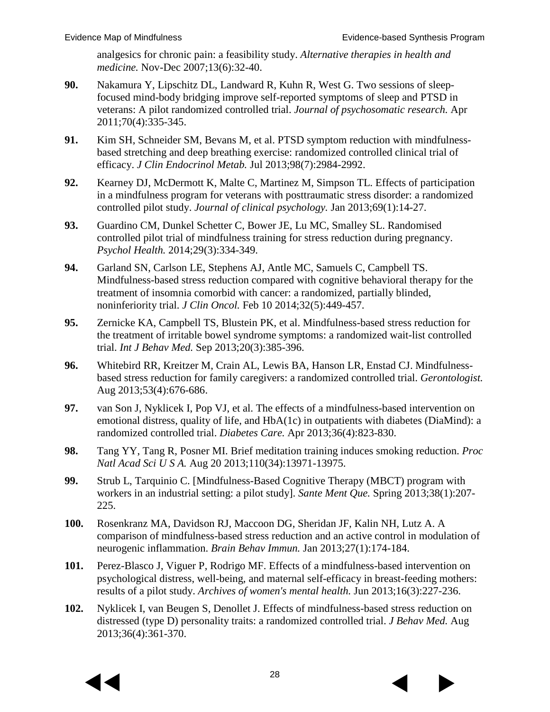analgesics for chronic pain: a feasibility study. *Alternative therapies in health and medicine.* Nov-Dec 2007;13(6):32-40.

- <span id="page-29-0"></span>**90.** Nakamura Y, Lipschitz DL, Landward R, Kuhn R, West G. Two sessions of sleepfocused mind-body bridging improve self-reported symptoms of sleep and PTSD in veterans: A pilot randomized controlled trial. *Journal of psychosomatic research.* Apr 2011;70(4):335-345.
- <span id="page-29-1"></span>**91.** Kim SH, Schneider SM, Bevans M, et al. PTSD symptom reduction with mindfulnessbased stretching and deep breathing exercise: randomized controlled clinical trial of efficacy. *J Clin Endocrinol Metab.* Jul 2013;98(7):2984-2992.
- <span id="page-29-2"></span>**92.** Kearney DJ, McDermott K, Malte C, Martinez M, Simpson TL. Effects of participation in a mindfulness program for veterans with posttraumatic stress disorder: a randomized controlled pilot study. *Journal of clinical psychology.* Jan 2013;69(1):14-27.
- <span id="page-29-5"></span>**93.** Guardino CM, Dunkel Schetter C, Bower JE, Lu MC, Smalley SL. Randomised controlled pilot trial of mindfulness training for stress reduction during pregnancy. *Psychol Health.* 2014;29(3):334-349.
- **94.** Garland SN, Carlson LE, Stephens AJ, Antle MC, Samuels C, Campbell TS. Mindfulness-based stress reduction compared with cognitive behavioral therapy for the treatment of insomnia comorbid with cancer: a randomized, partially blinded, noninferiority trial. *J Clin Oncol.* Feb 10 2014;32(5):449-457.
- **95.** Zernicke KA, Campbell TS, Blustein PK, et al. Mindfulness-based stress reduction for the treatment of irritable bowel syndrome symptoms: a randomized wait-list controlled trial. *Int J Behav Med.* Sep 2013;20(3):385-396.
- <span id="page-29-3"></span>**96.** Whitebird RR, Kreitzer M, Crain AL, Lewis BA, Hanson LR, Enstad CJ. Mindfulnessbased stress reduction for family caregivers: a randomized controlled trial. *Gerontologist.*  Aug 2013;53(4):676-686.
- <span id="page-29-4"></span>**97.** van Son J, Nyklicek I, Pop VJ, et al. The effects of a mindfulness-based intervention on emotional distress, quality of life, and HbA(1c) in outpatients with diabetes (DiaMind): a randomized controlled trial. *Diabetes Care.* Apr 2013;36(4):823-830.
- **98.** Tang YY, Tang R, Posner MI. Brief meditation training induces smoking reduction. *Proc Natl Acad Sci U S A.* Aug 20 2013;110(34):13971-13975.
- <span id="page-29-9"></span>**99.** Strub L, Tarquinio C. [Mindfulness-Based Cognitive Therapy (MBCT) program with workers in an industrial setting: a pilot study]. *Sante Ment Que.* Spring 2013;38(1):207- 225.
- <span id="page-29-8"></span>**100.** Rosenkranz MA, Davidson RJ, Maccoon DG, Sheridan JF, Kalin NH, Lutz A. A comparison of mindfulness-based stress reduction and an active control in modulation of neurogenic inflammation. *Brain Behav Immun.* Jan 2013;27(1):174-184.
- <span id="page-29-7"></span>**101.** Perez-Blasco J, Viguer P, Rodrigo MF. Effects of a mindfulness-based intervention on psychological distress, well-being, and maternal self-efficacy in breast-feeding mothers: results of a pilot study. *Archives of women's mental health.* Jun 2013;16(3):227-236.
- <span id="page-29-6"></span>**102.** Nyklicek I, van Beugen S, Denollet J. Effects of mindfulness-based stress reduction on distressed (type D) personality traits: a randomized controlled trial. *J Behav Med.* Aug 2013;36(4):361-370.



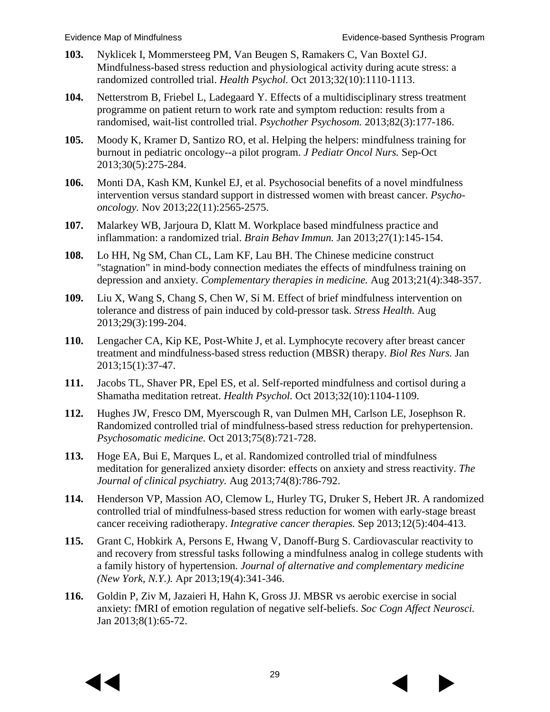- <span id="page-30-5"></span>**103.** Nyklicek I, Mommersteeg PM, Van Beugen S, Ramakers C, Van Boxtel GJ. Mindfulness-based stress reduction and physiological activity during acute stress: a randomized controlled trial. *Health Psychol.* Oct 2013;32(10):1110-1113.
- **104.** Netterstrom B, Friebel L, Ladegaard Y. Effects of a multidisciplinary stress treatment programme on patient return to work rate and symptom reduction: results from a randomised, wait-list controlled trial. *Psychother Psychosom.* 2013;82(3):177-186.
- <span id="page-30-0"></span>**105.** Moody K, Kramer D, Santizo RO, et al. Helping the helpers: mindfulness training for burnout in pediatric oncology--a pilot program. *J Pediatr Oncol Nurs.* Sep-Oct 2013;30(5):275-284.
- **106.** Monti DA, Kash KM, Kunkel EJ, et al. Psychosocial benefits of a novel mindfulness intervention versus standard support in distressed women with breast cancer. *Psychooncology.* Nov 2013;22(11):2565-2575.
- <span id="page-30-1"></span>**107.** Malarkey WB, Jarjoura D, Klatt M. Workplace based mindfulness practice and inflammation: a randomized trial. *Brain Behav Immun.* Jan 2013;27(1):145-154.
- <span id="page-30-2"></span>**108.** Lo HH, Ng SM, Chan CL, Lam KF, Lau BH. The Chinese medicine construct "stagnation" in mind-body connection mediates the effects of mindfulness training on depression and anxiety. *Complementary therapies in medicine.* Aug 2013;21(4):348-357.
- <span id="page-30-4"></span>**109.** Liu X, Wang S, Chang S, Chen W, Si M. Effect of brief mindfulness intervention on tolerance and distress of pain induced by cold-pressor task. *Stress Health.* Aug 2013;29(3):199-204.
- **110.** Lengacher CA, Kip KE, Post-White J, et al. Lymphocyte recovery after breast cancer treatment and mindfulness-based stress reduction (MBSR) therapy. *Biol Res Nurs.* Jan 2013;15(1):37-47.
- **111.** Jacobs TL, Shaver PR, Epel ES, et al. Self-reported mindfulness and cortisol during a Shamatha meditation retreat. *Health Psychol.* Oct 2013;32(10):1104-1109.
- **112.** Hughes JW, Fresco DM, Myerscough R, van Dulmen MH, Carlson LE, Josephson R. Randomized controlled trial of mindfulness-based stress reduction for prehypertension. *Psychosomatic medicine.* Oct 2013;75(8):721-728.
- **113.** Hoge EA, Bui E, Marques L, et al. Randomized controlled trial of mindfulness meditation for generalized anxiety disorder: effects on anxiety and stress reactivity. *The Journal of clinical psychiatry.* Aug 2013;74(8):786-792.
- <span id="page-30-3"></span>**114.** Henderson VP, Massion AO, Clemow L, Hurley TG, Druker S, Hebert JR. A randomized controlled trial of mindfulness-based stress reduction for women with early-stage breast cancer receiving radiotherapy. *Integrative cancer therapies.* Sep 2013;12(5):404-413.
- **115.** Grant C, Hobkirk A, Persons E, Hwang V, Danoff-Burg S. Cardiovascular reactivity to and recovery from stressful tasks following a mindfulness analog in college students with a family history of hypertension. *Journal of alternative and complementary medicine (New York, N.Y.).* Apr 2013;19(4):341-346.
- **116.** Goldin P, Ziv M, Jazaieri H, Hahn K, Gross JJ. MBSR vs aerobic exercise in social anxiety: fMRI of emotion regulation of negative self-beliefs. *Soc Cogn Affect Neurosci.*  Jan 2013;8(1):65-72.



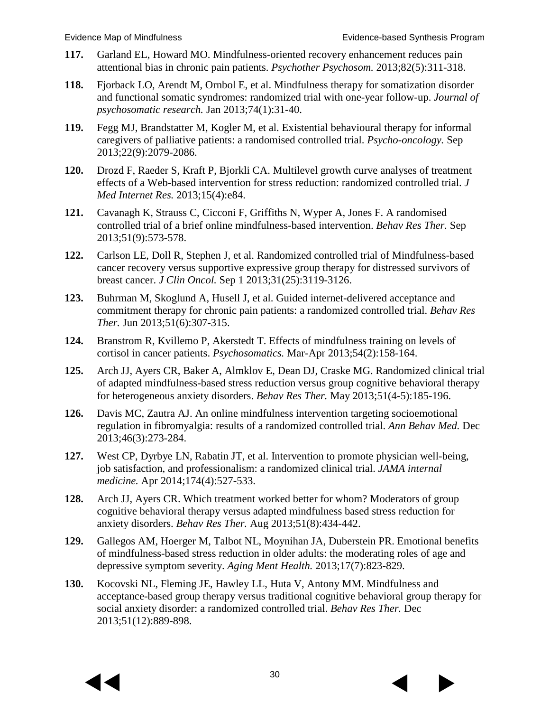- **117.** Garland EL, Howard MO. Mindfulness-oriented recovery enhancement reduces pain attentional bias in chronic pain patients. *Psychother Psychosom.* 2013;82(5):311-318.
- **118.** Fjorback LO, Arendt M, Ornbol E, et al. Mindfulness therapy for somatization disorder and functional somatic syndromes: randomized trial with one-year follow-up. *Journal of psychosomatic research.* Jan 2013;74(1):31-40.
- <span id="page-31-2"></span>**119.** Fegg MJ, Brandstatter M, Kogler M, et al. Existential behavioural therapy for informal caregivers of palliative patients: a randomised controlled trial. *Psycho-oncology.* Sep 2013;22(9):2079-2086.
- <span id="page-31-4"></span>**120.** Drozd F, Raeder S, Kraft P, Bjorkli CA. Multilevel growth curve analyses of treatment effects of a Web-based intervention for stress reduction: randomized controlled trial. *J Med Internet Res.* 2013;15(4):e84.
- <span id="page-31-0"></span>**121.** Cavanagh K, Strauss C, Cicconi F, Griffiths N, Wyper A, Jones F. A randomised controlled trial of a brief online mindfulness-based intervention. *Behav Res Ther.* Sep 2013;51(9):573-578.
- **122.** Carlson LE, Doll R, Stephen J, et al. Randomized controlled trial of Mindfulness-based cancer recovery versus supportive expressive group therapy for distressed survivors of breast cancer. *J Clin Oncol.* Sep 1 2013;31(25):3119-3126.
- **123.** Buhrman M, Skoglund A, Husell J, et al. Guided internet-delivered acceptance and commitment therapy for chronic pain patients: a randomized controlled trial. *Behav Res Ther.* Jun 2013;51(6):307-315.
- **124.** Branstrom R, Kvillemo P, Akerstedt T. Effects of mindfulness training on levels of cortisol in cancer patients. *Psychosomatics.* Mar-Apr 2013;54(2):158-164.
- **125.** Arch JJ, Ayers CR, Baker A, Almklov E, Dean DJ, Craske MG. Randomized clinical trial of adapted mindfulness-based stress reduction versus group cognitive behavioral therapy for heterogeneous anxiety disorders. *Behav Res Ther.* May 2013;51(4-5):185-196.
- **126.** Davis MC, Zautra AJ. An online mindfulness intervention targeting socioemotional regulation in fibromyalgia: results of a randomized controlled trial. *Ann Behav Med.* Dec 2013;46(3):273-284.
- <span id="page-31-1"></span>**127.** West CP, Dyrbye LN, Rabatin JT, et al. Intervention to promote physician well-being, job satisfaction, and professionalism: a randomized clinical trial. *JAMA internal medicine.* Apr 2014;174(4):527-533.
- **128.** Arch JJ, Ayers CR. Which treatment worked better for whom? Moderators of group cognitive behavioral therapy versus adapted mindfulness based stress reduction for anxiety disorders. *Behav Res Ther.* Aug 2013;51(8):434-442.
- <span id="page-31-5"></span>**129.** Gallegos AM, Hoerger M, Talbot NL, Moynihan JA, Duberstein PR. Emotional benefits of mindfulness-based stress reduction in older adults: the moderating roles of age and depressive symptom severity. *Aging Ment Health.* 2013;17(7):823-829.
- <span id="page-31-3"></span>**130.** Kocovski NL, Fleming JE, Hawley LL, Huta V, Antony MM. Mindfulness and acceptance-based group therapy versus traditional cognitive behavioral group therapy for social anxiety disorder: a randomized controlled trial. *Behav Res Ther.* Dec 2013;51(12):889-898.

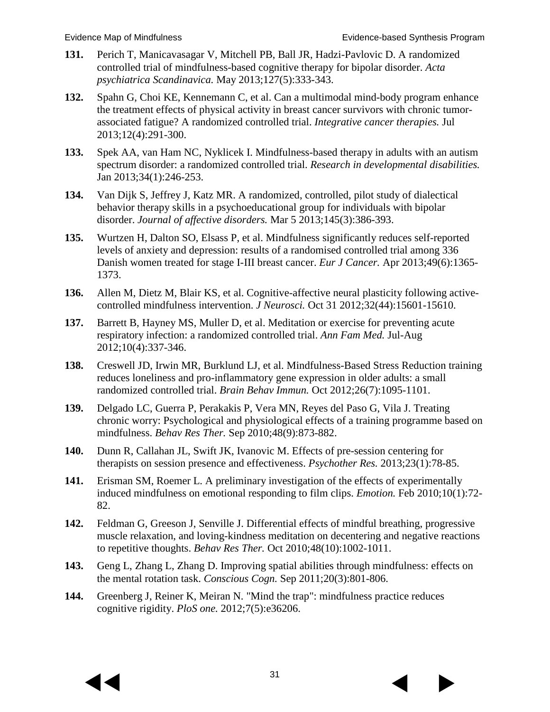- **131.** Perich T, Manicavasagar V, Mitchell PB, Ball JR, Hadzi-Pavlovic D. A randomized controlled trial of mindfulness-based cognitive therapy for bipolar disorder. *Acta psychiatrica Scandinavica.* May 2013;127(5):333-343.
- **132.** Spahn G, Choi KE, Kennemann C, et al. Can a multimodal mind-body program enhance the treatment effects of physical activity in breast cancer survivors with chronic tumorassociated fatigue? A randomized controlled trial. *Integrative cancer therapies.* Jul 2013;12(4):291-300.
- <span id="page-32-10"></span>**133.** Spek AA, van Ham NC, Nyklicek I. Mindfulness-based therapy in adults with an autism spectrum disorder: a randomized controlled trial. *Research in developmental disabilities.*  Jan 2013;34(1):246-253.
- **134.** Van Dijk S, Jeffrey J, Katz MR. A randomized, controlled, pilot study of dialectical behavior therapy skills in a psychoeducational group for individuals with bipolar disorder. *Journal of affective disorders.* Mar 5 2013;145(3):386-393.
- <span id="page-32-0"></span>**135.** Wurtzen H, Dalton SO, Elsass P, et al. Mindfulness significantly reduces self-reported levels of anxiety and depression: results of a randomised controlled trial among 336 Danish women treated for stage I-III breast cancer. *Eur J Cancer.* Apr 2013;49(6):1365- 1373.
- <span id="page-32-1"></span>**136.** Allen M, Dietz M, Blair KS, et al. Cognitive-affective neural plasticity following activecontrolled mindfulness intervention. *J Neurosci.* Oct 31 2012;32(44):15601-15610.
- <span id="page-32-2"></span>**137.** Barrett B, Hayney MS, Muller D, et al. Meditation or exercise for preventing acute respiratory infection: a randomized controlled trial. *Ann Fam Med.* Jul-Aug 2012;10(4):337-346.
- <span id="page-32-3"></span>**138.** Creswell JD, Irwin MR, Burklund LJ, et al. Mindfulness-Based Stress Reduction training reduces loneliness and pro-inflammatory gene expression in older adults: a small randomized controlled trial. *Brain Behav Immun.* Oct 2012;26(7):1095-1101.
- <span id="page-32-4"></span>**139.** Delgado LC, Guerra P, Perakakis P, Vera MN, Reyes del Paso G, Vila J. Treating chronic worry: Psychological and physiological effects of a training programme based on mindfulness. *Behav Res Ther.* Sep 2010;48(9):873-882.
- <span id="page-32-5"></span>**140.** Dunn R, Callahan JL, Swift JK, Ivanovic M. Effects of pre-session centering for therapists on session presence and effectiveness. *Psychother Res.* 2013;23(1):78-85.
- <span id="page-32-6"></span>**141.** Erisman SM, Roemer L. A preliminary investigation of the effects of experimentally induced mindfulness on emotional responding to film clips. *Emotion.* Feb 2010;10(1):72- 82.
- <span id="page-32-7"></span>**142.** Feldman G, Greeson J, Senville J. Differential effects of mindful breathing, progressive muscle relaxation, and loving-kindness meditation on decentering and negative reactions to repetitive thoughts. *Behav Res Ther.* Oct 2010;48(10):1002-1011.
- <span id="page-32-8"></span>**143.** Geng L, Zhang L, Zhang D. Improving spatial abilities through mindfulness: effects on the mental rotation task. *Conscious Cogn.* Sep 2011;20(3):801-806.
- <span id="page-32-9"></span>**144.** Greenberg J, Reiner K, Meiran N. "Mind the trap": mindfulness practice reduces cognitive rigidity. *PloS one.* 2012;7(5):e36206.



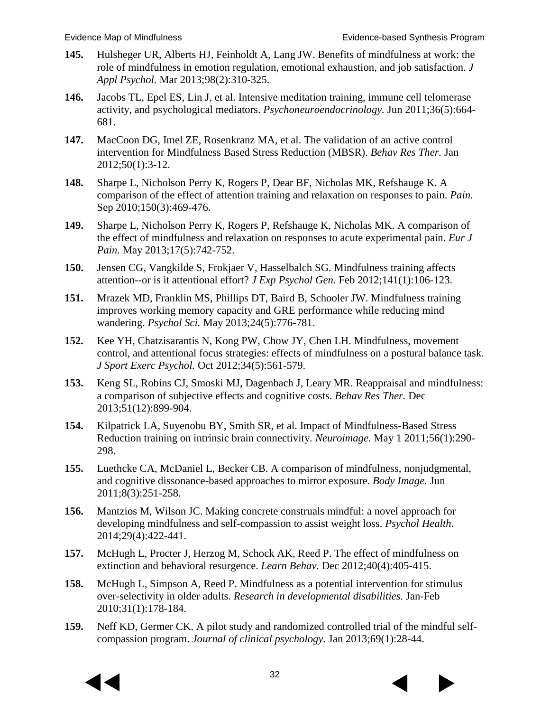- <span id="page-33-0"></span>**145.** Hulsheger UR, Alberts HJ, Feinholdt A, Lang JW. Benefits of mindfulness at work: the role of mindfulness in emotion regulation, emotional exhaustion, and job satisfaction. *J Appl Psychol.* Mar 2013;98(2):310-325.
- <span id="page-33-1"></span>**146.** Jacobs TL, Epel ES, Lin J, et al. Intensive meditation training, immune cell telomerase activity, and psychological mediators. *Psychoneuroendocrinology.* Jun 2011;36(5):664- 681.
- <span id="page-33-2"></span>**147.** MacCoon DG, Imel ZE, Rosenkranz MA, et al. The validation of an active control intervention for Mindfulness Based Stress Reduction (MBSR). *Behav Res Ther.* Jan 2012;50(1):3-12.
- **148.** Sharpe L, Nicholson Perry K, Rogers P, Dear BF, Nicholas MK, Refshauge K. A comparison of the effect of attention training and relaxation on responses to pain. *Pain.*  Sep 2010;150(3):469-476.
- **149.** Sharpe L, Nicholson Perry K, Rogers P, Refshauge K, Nicholas MK. A comparison of the effect of mindfulness and relaxation on responses to acute experimental pain. *Eur J Pain.* May 2013;17(5):742-752.
- <span id="page-33-3"></span>**150.** Jensen CG, Vangkilde S, Frokjaer V, Hasselbalch SG. Mindfulness training affects attention--or is it attentional effort? *J Exp Psychol Gen.* Feb 2012;141(1):106-123.
- <span id="page-33-4"></span>**151.** Mrazek MD, Franklin MS, Phillips DT, Baird B, Schooler JW. Mindfulness training improves working memory capacity and GRE performance while reducing mind wandering. *Psychol Sci.* May 2013;24(5):776-781.
- <span id="page-33-5"></span>**152.** Kee YH, Chatzisarantis N, Kong PW, Chow JY, Chen LH. Mindfulness, movement control, and attentional focus strategies: effects of mindfulness on a postural balance task. *J Sport Exerc Psychol.* Oct 2012;34(5):561-579.
- <span id="page-33-6"></span>**153.** Keng SL, Robins CJ, Smoski MJ, Dagenbach J, Leary MR. Reappraisal and mindfulness: a comparison of subjective effects and cognitive costs. *Behav Res Ther.* Dec 2013;51(12):899-904.
- <span id="page-33-7"></span>**154.** Kilpatrick LA, Suyenobu BY, Smith SR, et al. Impact of Mindfulness-Based Stress Reduction training on intrinsic brain connectivity. *Neuroimage.* May 1 2011;56(1):290- 298.
- <span id="page-33-8"></span>**155.** Luethcke CA, McDaniel L, Becker CB. A comparison of mindfulness, nonjudgmental, and cognitive dissonance-based approaches to mirror exposure. *Body Image.* Jun 2011;8(3):251-258.
- <span id="page-33-9"></span>**156.** Mantzios M, Wilson JC. Making concrete construals mindful: a novel approach for developing mindfulness and self-compassion to assist weight loss. *Psychol Health.*  2014;29(4):422-441.
- <span id="page-33-10"></span>**157.** McHugh L, Procter J, Herzog M, Schock AK, Reed P. The effect of mindfulness on extinction and behavioral resurgence. *Learn Behav.* Dec 2012;40(4):405-415.
- <span id="page-33-11"></span>**158.** McHugh L, Simpson A, Reed P. Mindfulness as a potential intervention for stimulus over-selectivity in older adults. *Research in developmental disabilities.* Jan-Feb 2010;31(1):178-184.
- <span id="page-33-12"></span>**159.** Neff KD, Germer CK. A pilot study and randomized controlled trial of the mindful selfcompassion program. *Journal of clinical psychology.* Jan 2013;69(1):28-44.



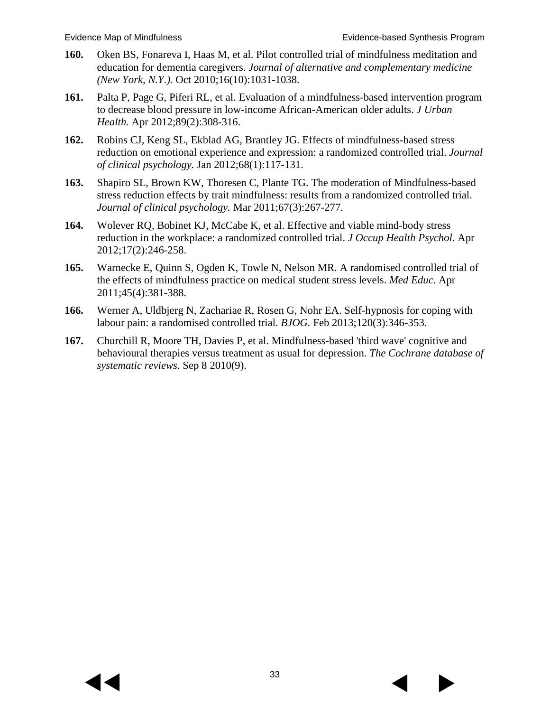- <span id="page-34-0"></span>**160.** Oken BS, Fonareva I, Haas M, et al. Pilot controlled trial of mindfulness meditation and education for dementia caregivers. *Journal of alternative and complementary medicine (New York, N.Y.).* Oct 2010;16(10):1031-1038.
- <span id="page-34-1"></span>**161.** Palta P, Page G, Piferi RL, et al. Evaluation of a mindfulness-based intervention program to decrease blood pressure in low-income African-American older adults. *J Urban Health.* Apr 2012;89(2):308-316.
- <span id="page-34-2"></span>**162.** Robins CJ, Keng SL, Ekblad AG, Brantley JG. Effects of mindfulness-based stress reduction on emotional experience and expression: a randomized controlled trial. *Journal of clinical psychology.* Jan 2012;68(1):117-131.
- <span id="page-34-3"></span>**163.** Shapiro SL, Brown KW, Thoresen C, Plante TG. The moderation of Mindfulness-based stress reduction effects by trait mindfulness: results from a randomized controlled trial. *Journal of clinical psychology.* Mar 2011;67(3):267-277.
- <span id="page-34-4"></span>**164.** Wolever RQ, Bobinet KJ, McCabe K, et al. Effective and viable mind-body stress reduction in the workplace: a randomized controlled trial. *J Occup Health Psychol.* Apr 2012;17(2):246-258.
- <span id="page-34-5"></span>**165.** Warnecke E, Quinn S, Ogden K, Towle N, Nelson MR. A randomised controlled trial of the effects of mindfulness practice on medical student stress levels. *Med Educ.* Apr 2011;45(4):381-388.
- <span id="page-34-6"></span>**166.** Werner A, Uldbjerg N, Zachariae R, Rosen G, Nohr EA. Self-hypnosis for coping with labour pain: a randomised controlled trial. *BJOG.* Feb 2013;120(3):346-353.
- <span id="page-34-7"></span>**167.** Churchill R, Moore TH, Davies P, et al. Mindfulness-based 'third wave' cognitive and behavioural therapies versus treatment as usual for depression. *The Cochrane database of systematic reviews.* Sep 8 2010(9).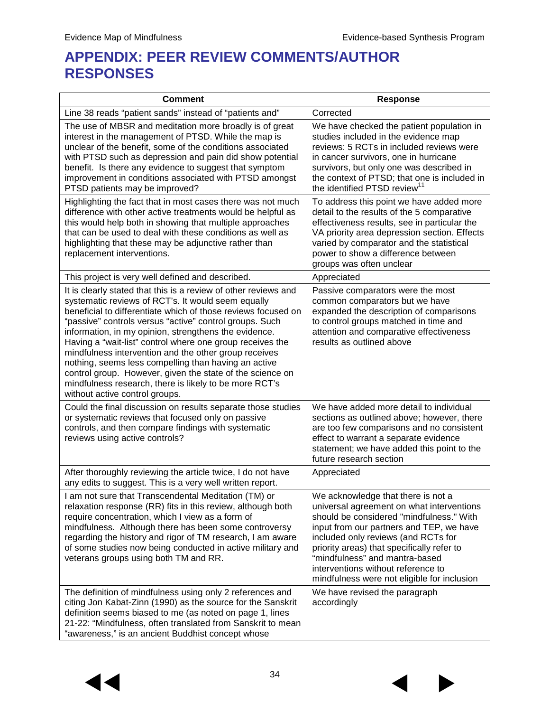# **APPENDIX: PEER REVIEW COMMENTS/AUTHOR RESPONSES**

| <b>Comment</b>                                                                                                                                                                                                                                                                                                                                                                                                                                                                                                                                                                                                                                    | <b>Response</b>                                                                                                                                                                                                                                                                                                                                                                     |
|---------------------------------------------------------------------------------------------------------------------------------------------------------------------------------------------------------------------------------------------------------------------------------------------------------------------------------------------------------------------------------------------------------------------------------------------------------------------------------------------------------------------------------------------------------------------------------------------------------------------------------------------------|-------------------------------------------------------------------------------------------------------------------------------------------------------------------------------------------------------------------------------------------------------------------------------------------------------------------------------------------------------------------------------------|
| Line 38 reads "patient sands" instead of "patients and"                                                                                                                                                                                                                                                                                                                                                                                                                                                                                                                                                                                           | Corrected                                                                                                                                                                                                                                                                                                                                                                           |
| The use of MBSR and meditation more broadly is of great<br>interest in the management of PTSD. While the map is<br>unclear of the benefit, some of the conditions associated<br>with PTSD such as depression and pain did show potential<br>benefit. Is there any evidence to suggest that symptom<br>improvement in conditions associated with PTSD amongst<br>PTSD patients may be improved?                                                                                                                                                                                                                                                    | We have checked the patient population in<br>studies included in the evidence map<br>reviews: 5 RCTs in included reviews were<br>in cancer survivors, one in hurricane<br>survivors, but only one was described in<br>the context of PTSD; that one is included in<br>the identified PTSD review <sup>11</sup>                                                                      |
| Highlighting the fact that in most cases there was not much<br>difference with other active treatments would be helpful as<br>this would help both in showing that multiple approaches<br>that can be used to deal with these conditions as well as<br>highlighting that these may be adjunctive rather than<br>replacement interventions.                                                                                                                                                                                                                                                                                                        | To address this point we have added more<br>detail to the results of the 5 comparative<br>effectiveness results, see in particular the<br>VA priority area depression section. Effects<br>varied by comparator and the statistical<br>power to show a difference between<br>groups was often unclear                                                                                |
| This project is very well defined and described.                                                                                                                                                                                                                                                                                                                                                                                                                                                                                                                                                                                                  | Appreciated                                                                                                                                                                                                                                                                                                                                                                         |
| It is clearly stated that this is a review of other reviews and<br>systematic reviews of RCT's. It would seem equally<br>beneficial to differentiate which of those reviews focused on<br>"passive" controls versus "active" control groups. Such<br>information, in my opinion, strengthens the evidence.<br>Having a "wait-list" control where one group receives the<br>mindfulness intervention and the other group receives<br>nothing, seems less compelling than having an active<br>control group. However, given the state of the science on<br>mindfulness research, there is likely to be more RCT's<br>without active control groups. | Passive comparators were the most<br>common comparators but we have<br>expanded the description of comparisons<br>to control groups matched in time and<br>attention and comparative effectiveness<br>results as outlined above                                                                                                                                                     |
| Could the final discussion on results separate those studies<br>or systematic reviews that focused only on passive<br>controls, and then compare findings with systematic<br>reviews using active controls?                                                                                                                                                                                                                                                                                                                                                                                                                                       | We have added more detail to individual<br>sections as outlined above; however, there<br>are too few comparisons and no consistent<br>effect to warrant a separate evidence<br>statement; we have added this point to the<br>future research section                                                                                                                                |
| After thoroughly reviewing the article twice, I do not have<br>any edits to suggest. This is a very well written report.                                                                                                                                                                                                                                                                                                                                                                                                                                                                                                                          | Appreciated                                                                                                                                                                                                                                                                                                                                                                         |
| I am not sure that Transcendental Meditation (TM) or<br>relaxation response (RR) fits in this review, although both<br>require concentration, which I view as a form of<br>mindfulness. Although there has been some controversy<br>regarding the history and rigor of TM research, I am aware<br>of some studies now being conducted in active military and<br>veterans groups using both TM and RR.                                                                                                                                                                                                                                             | We acknowledge that there is not a<br>universal agreement on what interventions<br>should be considered "mindfulness." With<br>input from our partners and TEP, we have<br>included only reviews (and RCTs for<br>priority areas) that specifically refer to<br>"mindfulness" and mantra-based<br>interventions without reference to<br>mindfulness were not eligible for inclusion |
| The definition of mindfulness using only 2 references and<br>citing Jon Kabat-Zinn (1990) as the source for the Sanskrit<br>definition seems biased to me (as noted on page 1, lines<br>21-22: "Mindfulness, often translated from Sanskrit to mean<br>"awareness," is an ancient Buddhist concept whose                                                                                                                                                                                                                                                                                                                                          | We have revised the paragraph<br>accordingly                                                                                                                                                                                                                                                                                                                                        |



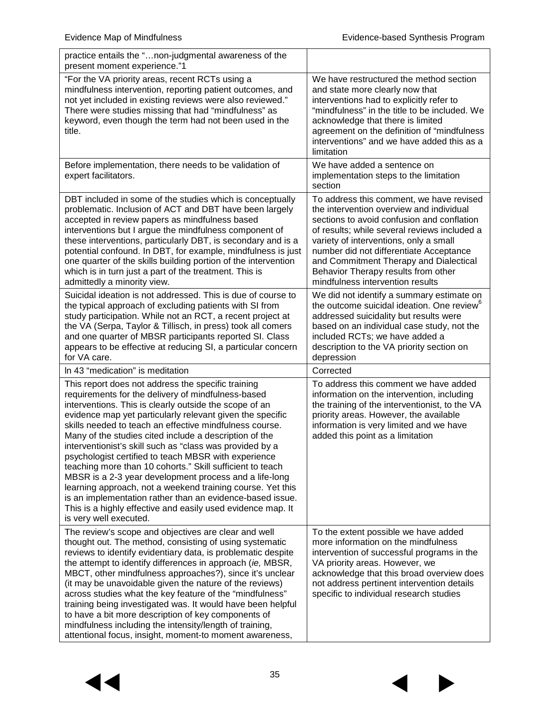| practice entails the "non-judgmental awareness of the<br>present moment experience."1                                                                                                                                                                                                                                                                                                                                                                                                                                                                                                                                                                                                                                                                                                                               |                                                                                                                                                                                                                                                                                                                                                                                              |
|---------------------------------------------------------------------------------------------------------------------------------------------------------------------------------------------------------------------------------------------------------------------------------------------------------------------------------------------------------------------------------------------------------------------------------------------------------------------------------------------------------------------------------------------------------------------------------------------------------------------------------------------------------------------------------------------------------------------------------------------------------------------------------------------------------------------|----------------------------------------------------------------------------------------------------------------------------------------------------------------------------------------------------------------------------------------------------------------------------------------------------------------------------------------------------------------------------------------------|
| "For the VA priority areas, recent RCTs using a<br>mindfulness intervention, reporting patient outcomes, and<br>not yet included in existing reviews were also reviewed."<br>There were studies missing that had "mindfulness" as<br>keyword, even though the term had not been used in the<br>title.                                                                                                                                                                                                                                                                                                                                                                                                                                                                                                               | We have restructured the method section<br>and state more clearly now that<br>interventions had to explicitly refer to<br>"mindfulness" in the title to be included. We<br>acknowledge that there is limited<br>agreement on the definition of "mindfulness<br>interventions" and we have added this as a<br>limitation                                                                      |
| Before implementation, there needs to be validation of<br>expert facilitators.                                                                                                                                                                                                                                                                                                                                                                                                                                                                                                                                                                                                                                                                                                                                      | We have added a sentence on<br>implementation steps to the limitation<br>section                                                                                                                                                                                                                                                                                                             |
| DBT included in some of the studies which is conceptually<br>problematic. Inclusion of ACT and DBT have been largely<br>accepted in review papers as mindfulness based<br>interventions but I argue the mindfulness component of<br>these interventions, particularly DBT, is secondary and is a<br>potential confound. In DBT, for example, mindfulness is just<br>one quarter of the skills building portion of the intervention<br>which is in turn just a part of the treatment. This is<br>admittedly a minority view.                                                                                                                                                                                                                                                                                         | To address this comment, we have revised<br>the intervention overview and individual<br>sections to avoid confusion and conflation<br>of results; while several reviews included a<br>variety of interventions, only a small<br>number did not differentiate Acceptance<br>and Commitment Therapy and Dialectical<br>Behavior Therapy results from other<br>mindfulness intervention results |
| Suicidal ideation is not addressed. This is due of course to<br>the typical approach of excluding patients with SI from<br>study participation. While not an RCT, a recent project at<br>the VA (Serpa, Taylor & Tillisch, in press) took all comers<br>and one quarter of MBSR participants reported SI. Class<br>appears to be effective at reducing SI, a particular concern<br>for VA care.                                                                                                                                                                                                                                                                                                                                                                                                                     | We did not identify a summary estimate on<br>the outcome suicidal ideation. One review <sup>6</sup><br>addressed suicidality but results were<br>based on an individual case study, not the<br>included RCTs; we have added a<br>description to the VA priority section on<br>depression                                                                                                     |
| In 43 "medication" is meditation                                                                                                                                                                                                                                                                                                                                                                                                                                                                                                                                                                                                                                                                                                                                                                                    | Corrected                                                                                                                                                                                                                                                                                                                                                                                    |
| This report does not address the specific training<br>requirements for the delivery of mindfulness-based<br>interventions. This is clearly outside the scope of an<br>evidence map yet particularly relevant given the specific<br>skills needed to teach an effective mindfulness course.<br>Many of the studies cited include a description of the<br>interventionist's skill such as "class was provided by a<br>psychologist certified to teach MBSR with experience<br>teaching more than 10 cohorts." Skill sufficient to teach<br>MBSR is a 2-3 year development process and a life-long<br>learning approach, not a weekend training course. Yet this<br>is an implementation rather than an evidence-based issue.<br>This is a highly effective and easily used evidence map. It<br>is very well executed. | To address this comment we have added<br>information on the intervention, including<br>the training of the interventionist, to the VA<br>priority areas. However, the available<br>information is very limited and we have<br>added this point as a limitation                                                                                                                               |
| The review's scope and objectives are clear and well<br>thought out. The method, consisting of using systematic<br>reviews to identify evidentiary data, is problematic despite<br>the attempt to identify differences in approach (ie, MBSR,<br>MBCT, other mindfulness approaches?), since it's unclear<br>(it may be unavoidable given the nature of the reviews)<br>across studies what the key feature of the "mindfulness"<br>training being investigated was. It would have been helpful<br>to have a bit more description of key components of<br>mindfulness including the intensity/length of training,<br>attentional focus, insight, moment-to moment awareness,                                                                                                                                        | To the extent possible we have added<br>more information on the mindfulness<br>intervention of successful programs in the<br>VA priority areas. However, we<br>acknowledge that this broad overview does<br>not address pertinent intervention details<br>specific to individual research studies                                                                                            |